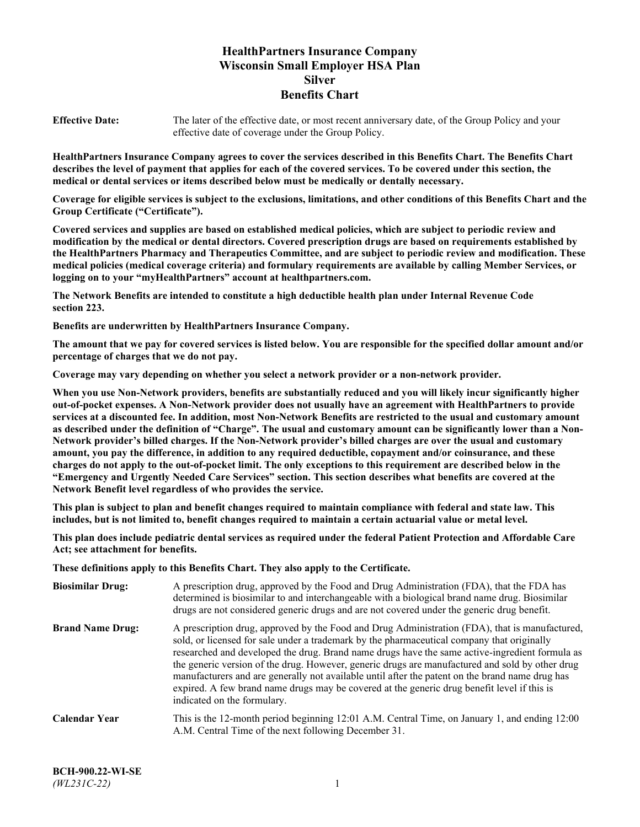# **HealthPartners Insurance Company Wisconsin Small Employer HSA Plan Silver Benefits Chart**

**Effective Date:** The later of the effective date, or most recent anniversary date, of the Group Policy and your effective date of coverage under the Group Policy.

**HealthPartners Insurance Company agrees to cover the services described in this Benefits Chart. The Benefits Chart describes the level of payment that applies for each of the covered services. To be covered under this section, the medical or dental services or items described below must be medically or dentally necessary.**

**Coverage for eligible services is subject to the exclusions, limitations, and other conditions of this Benefits Chart and the Group Certificate ("Certificate").**

**Covered services and supplies are based on established medical policies, which are subject to periodic review and modification by the medical or dental directors. Covered prescription drugs are based on requirements established by the HealthPartners Pharmacy and Therapeutics Committee, and are subject to periodic review and modification. These medical policies (medical coverage criteria) and formulary requirements are available by calling Member Services, or logging on to your "myHealthPartners" account at [healthpartners.com.](https://www.healthpartners.com/hp/index.html)**

**The Network Benefits are intended to constitute a high deductible health plan under Internal Revenue Code section 223.**

**Benefits are underwritten by HealthPartners Insurance Company.**

**The amount that we pay for covered services is listed below. You are responsible for the specified dollar amount and/or percentage of charges that we do not pay.**

**Coverage may vary depending on whether you select a network provider or a non-network provider.**

**When you use Non-Network providers, benefits are substantially reduced and you will likely incur significantly higher out-of-pocket expenses. A Non-Network provider does not usually have an agreement with HealthPartners to provide services at a discounted fee. In addition, most Non-Network Benefits are restricted to the usual and customary amount as described under the definition of "Charge". The usual and customary amount can be significantly lower than a Non-Network provider's billed charges. If the Non-Network provider's billed charges are over the usual and customary amount, you pay the difference, in addition to any required deductible, copayment and/or coinsurance, and these charges do not apply to the out-of-pocket limit. The only exceptions to this requirement are described below in the "Emergency and Urgently Needed Care Services" section. This section describes what benefits are covered at the Network Benefit level regardless of who provides the service.**

**This plan is subject to plan and benefit changes required to maintain compliance with federal and state law. This includes, but is not limited to, benefit changes required to maintain a certain actuarial value or metal level.**

**This plan does include pediatric dental services as required under the federal Patient Protection and Affordable Care Act; see attachment for benefits.**

**These definitions apply to this Benefits Chart. They also apply to the Certificate.**

| <b>Biosimilar Drug:</b> | A prescription drug, approved by the Food and Drug Administration (FDA), that the FDA has<br>determined is biosimilar to and interchangeable with a biological brand name drug. Biosimilar<br>drugs are not considered generic drugs and are not covered under the generic drug benefit.                                                                                                                                                                                                                                                                                                                                           |
|-------------------------|------------------------------------------------------------------------------------------------------------------------------------------------------------------------------------------------------------------------------------------------------------------------------------------------------------------------------------------------------------------------------------------------------------------------------------------------------------------------------------------------------------------------------------------------------------------------------------------------------------------------------------|
| <b>Brand Name Drug:</b> | A prescription drug, approved by the Food and Drug Administration (FDA), that is manufactured,<br>sold, or licensed for sale under a trademark by the pharmaceutical company that originally<br>researched and developed the drug. Brand name drugs have the same active-ingredient formula as<br>the generic version of the drug. However, generic drugs are manufactured and sold by other drug<br>manufacturers and are generally not available until after the patent on the brand name drug has<br>expired. A few brand name drugs may be covered at the generic drug benefit level if this is<br>indicated on the formulary. |
| <b>Calendar Year</b>    | This is the 12-month period beginning 12:01 A.M. Central Time, on January 1, and ending 12:00<br>A.M. Central Time of the next following December 31.                                                                                                                                                                                                                                                                                                                                                                                                                                                                              |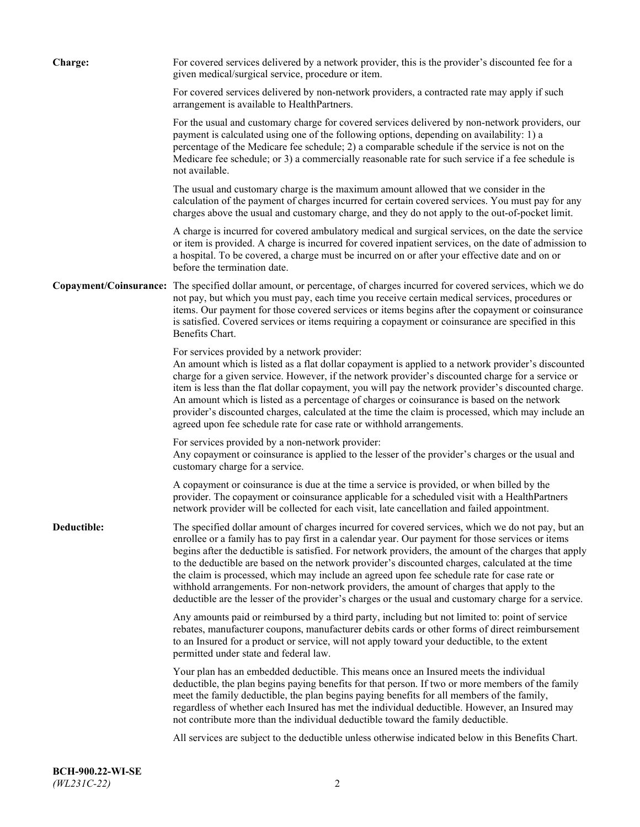| Charge:     | For covered services delivered by a network provider, this is the provider's discounted fee for a<br>given medical/surgical service, procedure or item.                                                                                                                                                                                                                                                                                                                                                                                                                                                                                                                                                                 |
|-------------|-------------------------------------------------------------------------------------------------------------------------------------------------------------------------------------------------------------------------------------------------------------------------------------------------------------------------------------------------------------------------------------------------------------------------------------------------------------------------------------------------------------------------------------------------------------------------------------------------------------------------------------------------------------------------------------------------------------------------|
|             | For covered services delivered by non-network providers, a contracted rate may apply if such<br>arrangement is available to HealthPartners.                                                                                                                                                                                                                                                                                                                                                                                                                                                                                                                                                                             |
|             | For the usual and customary charge for covered services delivered by non-network providers, our<br>payment is calculated using one of the following options, depending on availability: 1) a<br>percentage of the Medicare fee schedule; 2) a comparable schedule if the service is not on the<br>Medicare fee schedule; or 3) a commercially reasonable rate for such service if a fee schedule is<br>not available.                                                                                                                                                                                                                                                                                                   |
|             | The usual and customary charge is the maximum amount allowed that we consider in the<br>calculation of the payment of charges incurred for certain covered services. You must pay for any<br>charges above the usual and customary charge, and they do not apply to the out-of-pocket limit.                                                                                                                                                                                                                                                                                                                                                                                                                            |
|             | A charge is incurred for covered ambulatory medical and surgical services, on the date the service<br>or item is provided. A charge is incurred for covered inpatient services, on the date of admission to<br>a hospital. To be covered, a charge must be incurred on or after your effective date and on or<br>before the termination date.                                                                                                                                                                                                                                                                                                                                                                           |
|             | Copayment/Coinsurance: The specified dollar amount, or percentage, of charges incurred for covered services, which we do<br>not pay, but which you must pay, each time you receive certain medical services, procedures or<br>items. Our payment for those covered services or items begins after the copayment or coinsurance<br>is satisfied. Covered services or items requiring a copayment or coinsurance are specified in this<br>Benefits Chart.                                                                                                                                                                                                                                                                 |
|             | For services provided by a network provider:<br>An amount which is listed as a flat dollar copayment is applied to a network provider's discounted<br>charge for a given service. However, if the network provider's discounted charge for a service or<br>item is less than the flat dollar copayment, you will pay the network provider's discounted charge.<br>An amount which is listed as a percentage of charges or coinsurance is based on the network<br>provider's discounted charges, calculated at the time the claim is processed, which may include an<br>agreed upon fee schedule rate for case rate or withhold arrangements.                                                                            |
|             | For services provided by a non-network provider:<br>Any copayment or coinsurance is applied to the lesser of the provider's charges or the usual and<br>customary charge for a service.                                                                                                                                                                                                                                                                                                                                                                                                                                                                                                                                 |
|             | A copayment or coinsurance is due at the time a service is provided, or when billed by the<br>provider. The copayment or coinsurance applicable for a scheduled visit with a HealthPartners<br>network provider will be collected for each visit, late cancellation and failed appointment.                                                                                                                                                                                                                                                                                                                                                                                                                             |
| Deductible: | The specified dollar amount of charges incurred for covered services, which we do not pay, but an<br>enrollee or a family has to pay first in a calendar year. Our payment for those services or items<br>begins after the deductible is satisfied. For network providers, the amount of the charges that apply<br>to the deductible are based on the network provider's discounted charges, calculated at the time<br>the claim is processed, which may include an agreed upon fee schedule rate for case rate or<br>withhold arrangements. For non-network providers, the amount of charges that apply to the<br>deductible are the lesser of the provider's charges or the usual and customary charge for a service. |
|             | Any amounts paid or reimbursed by a third party, including but not limited to: point of service<br>rebates, manufacturer coupons, manufacturer debits cards or other forms of direct reimbursement<br>to an Insured for a product or service, will not apply toward your deductible, to the extent<br>permitted under state and federal law.                                                                                                                                                                                                                                                                                                                                                                            |
|             | Your plan has an embedded deductible. This means once an Insured meets the individual<br>deductible, the plan begins paying benefits for that person. If two or more members of the family<br>meet the family deductible, the plan begins paying benefits for all members of the family,<br>regardless of whether each Insured has met the individual deductible. However, an Insured may<br>not contribute more than the individual deductible toward the family deductible.                                                                                                                                                                                                                                           |
|             | All services are subject to the deductible unless otherwise indicated below in this Benefits Chart.                                                                                                                                                                                                                                                                                                                                                                                                                                                                                                                                                                                                                     |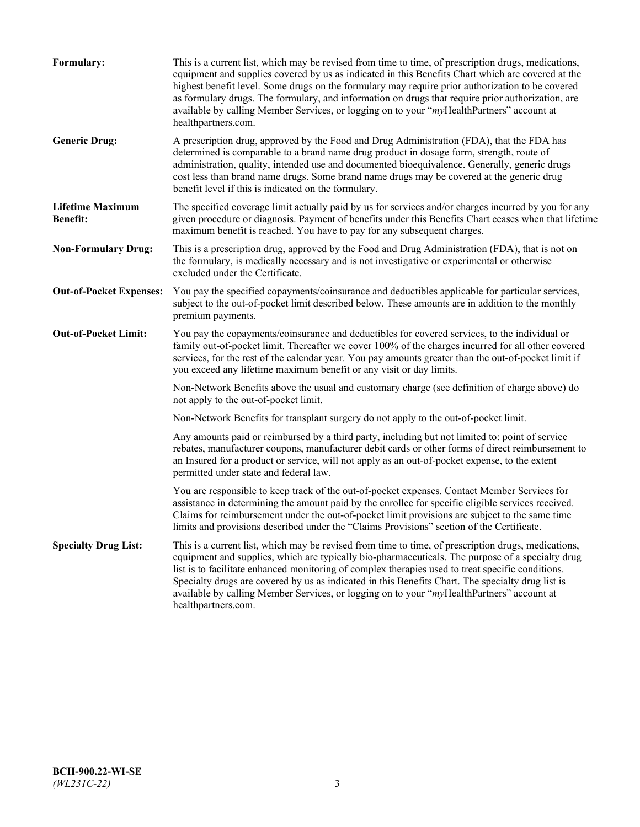| Formulary:                                 | This is a current list, which may be revised from time to time, of prescription drugs, medications,<br>equipment and supplies covered by us as indicated in this Benefits Chart which are covered at the<br>highest benefit level. Some drugs on the formulary may require prior authorization to be covered<br>as formulary drugs. The formulary, and information on drugs that require prior authorization, are<br>available by calling Member Services, or logging on to your "myHealthPartners" account at<br>healthpartners.com. |
|--------------------------------------------|---------------------------------------------------------------------------------------------------------------------------------------------------------------------------------------------------------------------------------------------------------------------------------------------------------------------------------------------------------------------------------------------------------------------------------------------------------------------------------------------------------------------------------------|
| <b>Generic Drug:</b>                       | A prescription drug, approved by the Food and Drug Administration (FDA), that the FDA has<br>determined is comparable to a brand name drug product in dosage form, strength, route of<br>administration, quality, intended use and documented bioequivalence. Generally, generic drugs<br>cost less than brand name drugs. Some brand name drugs may be covered at the generic drug<br>benefit level if this is indicated on the formulary.                                                                                           |
| <b>Lifetime Maximum</b><br><b>Benefit:</b> | The specified coverage limit actually paid by us for services and/or charges incurred by you for any<br>given procedure or diagnosis. Payment of benefits under this Benefits Chart ceases when that lifetime<br>maximum benefit is reached. You have to pay for any subsequent charges.                                                                                                                                                                                                                                              |
| <b>Non-Formulary Drug:</b>                 | This is a prescription drug, approved by the Food and Drug Administration (FDA), that is not on<br>the formulary, is medically necessary and is not investigative or experimental or otherwise<br>excluded under the Certificate.                                                                                                                                                                                                                                                                                                     |
| <b>Out-of-Pocket Expenses:</b>             | You pay the specified copayments/coinsurance and deductibles applicable for particular services,<br>subject to the out-of-pocket limit described below. These amounts are in addition to the monthly<br>premium payments.                                                                                                                                                                                                                                                                                                             |
| <b>Out-of-Pocket Limit:</b>                | You pay the copayments/coinsurance and deductibles for covered services, to the individual or<br>family out-of-pocket limit. Thereafter we cover 100% of the charges incurred for all other covered<br>services, for the rest of the calendar year. You pay amounts greater than the out-of-pocket limit if<br>you exceed any lifetime maximum benefit or any visit or day limits.                                                                                                                                                    |
|                                            | Non-Network Benefits above the usual and customary charge (see definition of charge above) do<br>not apply to the out-of-pocket limit.                                                                                                                                                                                                                                                                                                                                                                                                |
|                                            | Non-Network Benefits for transplant surgery do not apply to the out-of-pocket limit.                                                                                                                                                                                                                                                                                                                                                                                                                                                  |
|                                            | Any amounts paid or reimbursed by a third party, including but not limited to: point of service<br>rebates, manufacturer coupons, manufacturer debit cards or other forms of direct reimbursement to<br>an Insured for a product or service, will not apply as an out-of-pocket expense, to the extent<br>permitted under state and federal law.                                                                                                                                                                                      |
|                                            | You are responsible to keep track of the out-of-pocket expenses. Contact Member Services for<br>assistance in determining the amount paid by the enrollee for specific eligible services received.<br>Claims for reimbursement under the out-of-pocket limit provisions are subject to the same time<br>limits and provisions described under the "Claims Provisions" section of the Certificate.                                                                                                                                     |
| <b>Specialty Drug List:</b>                | This is a current list, which may be revised from time to time, of prescription drugs, medications,<br>equipment and supplies, which are typically bio-pharmaceuticals. The purpose of a specialty drug<br>list is to facilitate enhanced monitoring of complex therapies used to treat specific conditions.<br>Specialty drugs are covered by us as indicated in this Benefits Chart. The specialty drug list is<br>available by calling Member Services, or logging on to your "myHealthPartners" account at<br>healthpartners.com. |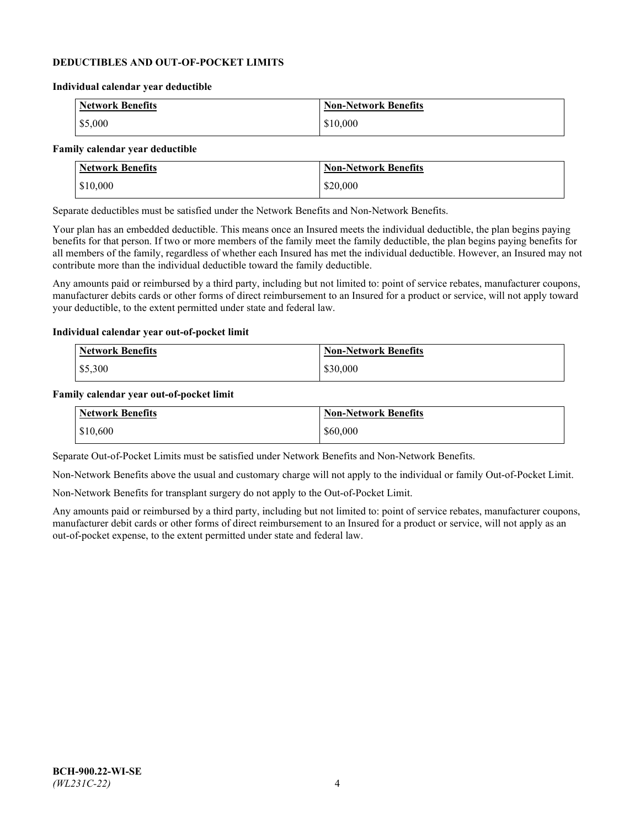### **DEDUCTIBLES AND OUT-OF-POCKET LIMITS**

#### **Individual calendar year deductible**

| <b>Network Benefits</b> | <b>Non-Network Benefits</b> |
|-------------------------|-----------------------------|
| \$5,000                 | \$10,000                    |

#### **Family calendar year deductible**

| <b>Network Benefits</b> | <b>Non-Network Benefits</b> |
|-------------------------|-----------------------------|
| \$10,000                | \$20,000                    |

Separate deductibles must be satisfied under the Network Benefits and Non-Network Benefits.

Your plan has an embedded deductible. This means once an Insured meets the individual deductible, the plan begins paying benefits for that person. If two or more members of the family meet the family deductible, the plan begins paying benefits for all members of the family, regardless of whether each Insured has met the individual deductible. However, an Insured may not contribute more than the individual deductible toward the family deductible.

Any amounts paid or reimbursed by a third party, including but not limited to: point of service rebates, manufacturer coupons, manufacturer debits cards or other forms of direct reimbursement to an Insured for a product or service, will not apply toward your deductible, to the extent permitted under state and federal law.

#### **Individual calendar year out-of-pocket limit**

| Network Benefits | <b>Non-Network Benefits</b> |
|------------------|-----------------------------|
| \$5,300          | \$30,000                    |

#### **Family calendar year out-of-pocket limit**

| <b>Network Benefits</b> | Non-Network Benefits |
|-------------------------|----------------------|
| \$10,600                | \$60,000             |

Separate Out-of-Pocket Limits must be satisfied under Network Benefits and Non-Network Benefits.

Non-Network Benefits above the usual and customary charge will not apply to the individual or family Out-of-Pocket Limit.

Non-Network Benefits for transplant surgery do not apply to the Out-of-Pocket Limit.

Any amounts paid or reimbursed by a third party, including but not limited to: point of service rebates, manufacturer coupons, manufacturer debit cards or other forms of direct reimbursement to an Insured for a product or service, will not apply as an out-of-pocket expense, to the extent permitted under state and federal law.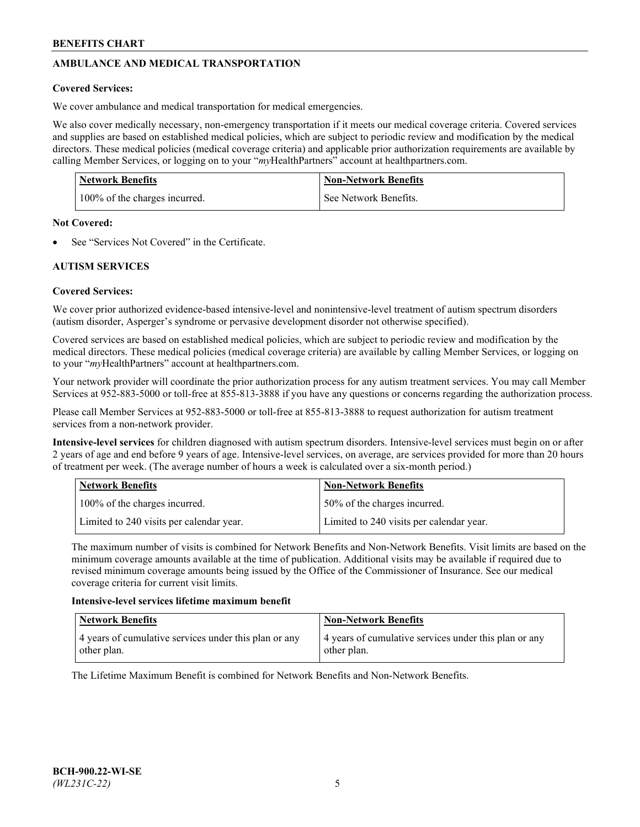# **AMBULANCE AND MEDICAL TRANSPORTATION**

## **Covered Services:**

We cover ambulance and medical transportation for medical emergencies.

We also cover medically necessary, non-emergency transportation if it meets our medical coverage criteria. Covered services and supplies are based on established medical policies, which are subject to periodic review and modification by the medical directors. These medical policies (medical coverage criteria) and applicable prior authorization requirements are available by calling Member Services, or logging on to your "*my*HealthPartners" account a[t healthpartners.com.](https://www.healthpartners.com/hp/index.html)

| <b>Network Benefits</b>       | <b>Non-Network Benefits</b> |
|-------------------------------|-----------------------------|
| 100% of the charges incurred. | See Network Benefits.       |

## **Not Covered:**

See "Services Not Covered" in the Certificate.

## **AUTISM SERVICES**

## **Covered Services:**

We cover prior authorized evidence-based intensive-level and nonintensive-level treatment of autism spectrum disorders (autism disorder, Asperger's syndrome or pervasive development disorder not otherwise specified).

Covered services are based on established medical policies, which are subject to periodic review and modification by the medical directors. These medical policies (medical coverage criteria) are available by calling Member Services, or logging on to your "*my*HealthPartners" account at [healthpartners.com.](https://www.healthpartners.com/hp/index.html)

Your network provider will coordinate the prior authorization process for any autism treatment services. You may call Member Services at 952-883-5000 or toll-free at 855-813-3888 if you have any questions or concerns regarding the authorization process.

Please call Member Services at 952-883-5000 or toll-free at 855-813-3888 to request authorization for autism treatment services from a non-network provider.

**Intensive-level services** for children diagnosed with autism spectrum disorders. Intensive-level services must begin on or after 2 years of age and end before 9 years of age. Intensive-level services, on average, are services provided for more than 20 hours of treatment per week. (The average number of hours a week is calculated over a six-month period.)

| Network Benefits                         | <b>Non-Network Benefits</b>              |
|------------------------------------------|------------------------------------------|
| 100% of the charges incurred.            | 50% of the charges incurred.             |
| Limited to 240 visits per calendar year. | Limited to 240 visits per calendar year. |

The maximum number of visits is combined for Network Benefits and Non-Network Benefits. Visit limits are based on the minimum coverage amounts available at the time of publication. Additional visits may be available if required due to revised minimum coverage amounts being issued by the Office of the Commissioner of Insurance. See our medical coverage criteria for current visit limits.

## **Intensive-level services lifetime maximum benefit**

| Network Benefits                                                     | <b>Non-Network Benefits</b>                                          |
|----------------------------------------------------------------------|----------------------------------------------------------------------|
| 4 years of cumulative services under this plan or any<br>other plan. | 4 years of cumulative services under this plan or any<br>other plan. |

The Lifetime Maximum Benefit is combined for Network Benefits and Non-Network Benefits.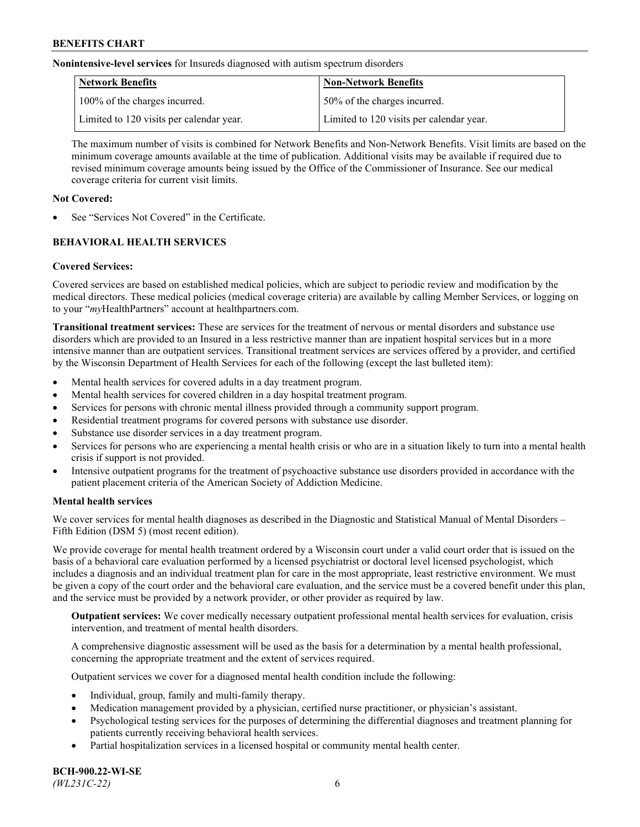**Nonintensive-level services** for Insureds diagnosed with autism spectrum disorders

| Network Benefits                         | <b>Non-Network Benefits</b>              |
|------------------------------------------|------------------------------------------|
| 100% of the charges incurred.            | 50% of the charges incurred.             |
| Limited to 120 visits per calendar year. | Limited to 120 visits per calendar year. |

The maximum number of visits is combined for Network Benefits and Non-Network Benefits. Visit limits are based on the minimum coverage amounts available at the time of publication. Additional visits may be available if required due to revised minimum coverage amounts being issued by the Office of the Commissioner of Insurance. See our medical coverage criteria for current visit limits.

## **Not Covered:**

See "Services Not Covered" in the Certificate.

## **BEHAVIORAL HEALTH SERVICES**

## **Covered Services:**

Covered services are based on established medical policies, which are subject to periodic review and modification by the medical directors. These medical policies (medical coverage criteria) are available by calling Member Services, or logging on to your "*my*HealthPartners" account at [healthpartners.com.](https://www.healthpartners.com/hp/index.html)

**Transitional treatment services:** These are services for the treatment of nervous or mental disorders and substance use disorders which are provided to an Insured in a less restrictive manner than are inpatient hospital services but in a more intensive manner than are outpatient services. Transitional treatment services are services offered by a provider, and certified by the Wisconsin Department of Health Services for each of the following (except the last bulleted item):

- Mental health services for covered adults in a day treatment program.
- Mental health services for covered children in a day hospital treatment program.
- Services for persons with chronic mental illness provided through a community support program.
- Residential treatment programs for covered persons with substance use disorder.
- Substance use disorder services in a day treatment program.
- Services for persons who are experiencing a mental health crisis or who are in a situation likely to turn into a mental health crisis if support is not provided.
- Intensive outpatient programs for the treatment of psychoactive substance use disorders provided in accordance with the patient placement criteria of the American Society of Addiction Medicine.

## **Mental health services**

We cover services for mental health diagnoses as described in the Diagnostic and Statistical Manual of Mental Disorders – Fifth Edition (DSM 5) (most recent edition).

We provide coverage for mental health treatment ordered by a Wisconsin court under a valid court order that is issued on the basis of a behavioral care evaluation performed by a licensed psychiatrist or doctoral level licensed psychologist, which includes a diagnosis and an individual treatment plan for care in the most appropriate, least restrictive environment. We must be given a copy of the court order and the behavioral care evaluation, and the service must be a covered benefit under this plan, and the service must be provided by a network provider, or other provider as required by law.

**Outpatient services:** We cover medically necessary outpatient professional mental health services for evaluation, crisis intervention, and treatment of mental health disorders.

A comprehensive diagnostic assessment will be used as the basis for a determination by a mental health professional, concerning the appropriate treatment and the extent of services required.

Outpatient services we cover for a diagnosed mental health condition include the following:

- Individual, group, family and multi-family therapy.
- Medication management provided by a physician, certified nurse practitioner, or physician's assistant.
- Psychological testing services for the purposes of determining the differential diagnoses and treatment planning for patients currently receiving behavioral health services.
- Partial hospitalization services in a licensed hospital or community mental health center.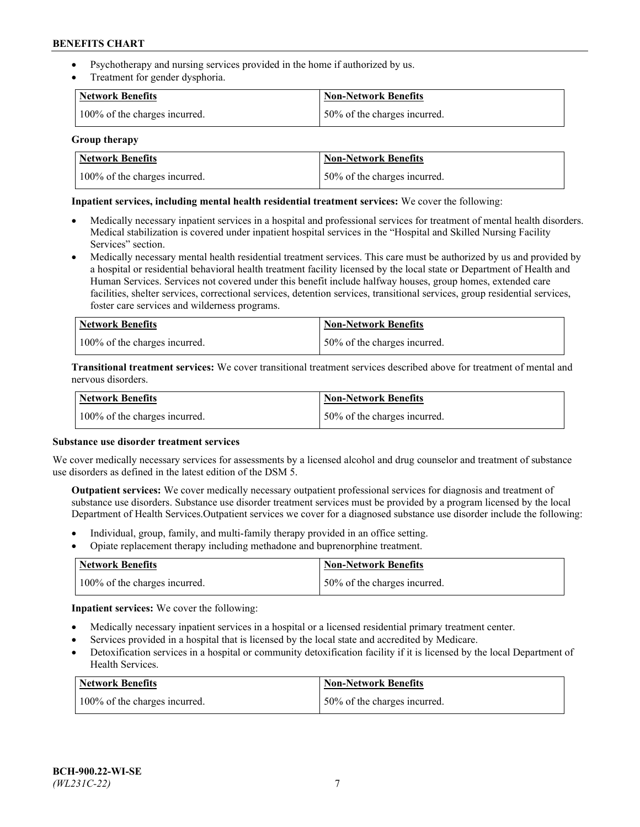- Psychotherapy and nursing services provided in the home if authorized by us.
- Treatment for gender dysphoria.

| <b>Network Benefits</b>       | <b>Non-Network Benefits</b>  |
|-------------------------------|------------------------------|
| 100% of the charges incurred. | 50% of the charges incurred. |

### **Group therapy**

| Network Benefits              | Non-Network Benefits          |
|-------------------------------|-------------------------------|
| 100% of the charges incurred. | 150% of the charges incurred. |

### **Inpatient services, including mental health residential treatment services:** We cover the following:

- Medically necessary inpatient services in a hospital and professional services for treatment of mental health disorders. Medical stabilization is covered under inpatient hospital services in the "Hospital and Skilled Nursing Facility Services" section.
- Medically necessary mental health residential treatment services. This care must be authorized by us and provided by a hospital or residential behavioral health treatment facility licensed by the local state or Department of Health and Human Services. Services not covered under this benefit include halfway houses, group homes, extended care facilities, shelter services, correctional services, detention services, transitional services, group residential services, foster care services and wilderness programs.

| <b>Network Benefits</b>       | Non-Network Benefits         |
|-------------------------------|------------------------------|
| 100% of the charges incurred. | 50% of the charges incurred. |

**Transitional treatment services:** We cover transitional treatment services described above for treatment of mental and nervous disorders.

| <b>Network Benefits</b>       | <b>Non-Network Benefits</b>  |
|-------------------------------|------------------------------|
| 100% of the charges incurred. | 50% of the charges incurred. |

#### **Substance use disorder treatment services**

We cover medically necessary services for assessments by a licensed alcohol and drug counselor and treatment of substance use disorders as defined in the latest edition of the DSM 5.

**Outpatient services:** We cover medically necessary outpatient professional services for diagnosis and treatment of substance use disorders. Substance use disorder treatment services must be provided by a program licensed by the local Department of Health Services.Outpatient services we cover for a diagnosed substance use disorder include the following:

- Individual, group, family, and multi-family therapy provided in an office setting.
- Opiate replacement therapy including methadone and buprenorphine treatment.

| Network Benefits              | Non-Network Benefits         |
|-------------------------------|------------------------------|
| 100% of the charges incurred. | 50% of the charges incurred. |

**Inpatient services:** We cover the following:

- Medically necessary inpatient services in a hospital or a licensed residential primary treatment center.
- Services provided in a hospital that is licensed by the local state and accredited by Medicare.
- Detoxification services in a hospital or community detoxification facility if it is licensed by the local Department of Health Services.

| Network Benefits              | <b>Non-Network Benefits</b>  |
|-------------------------------|------------------------------|
| 100% of the charges incurred. | 50% of the charges incurred. |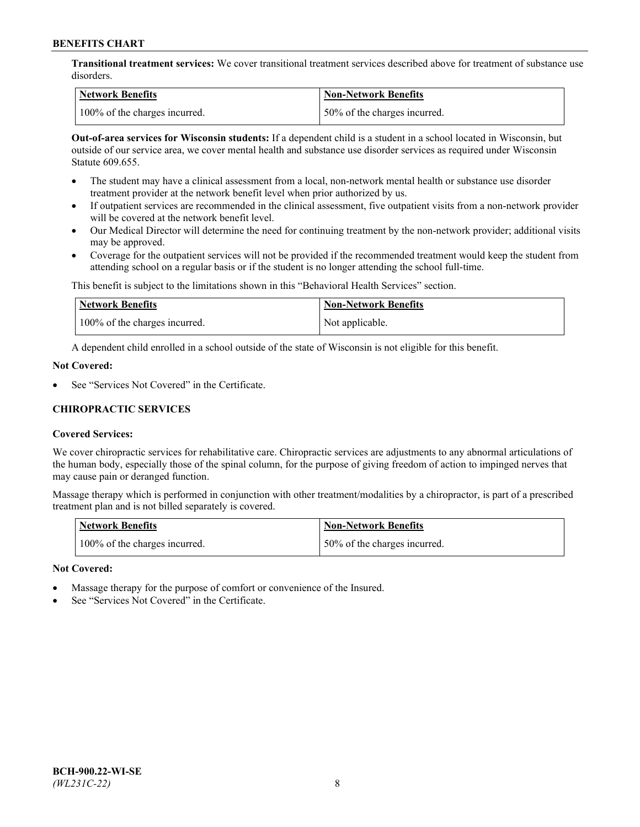**Transitional treatment services:** We cover transitional treatment services described above for treatment of substance use disorders.

| Network Benefits              | <b>Non-Network Benefits</b>   |
|-------------------------------|-------------------------------|
| 100% of the charges incurred. | 150% of the charges incurred. |

**Out-of-area services for Wisconsin students:** If a dependent child is a student in a school located in Wisconsin, but outside of our service area, we cover mental health and substance use disorder services as required under Wisconsin Statute 609.655.

- The student may have a clinical assessment from a local, non-network mental health or substance use disorder treatment provider at the network benefit level when prior authorized by us.
- If outpatient services are recommended in the clinical assessment, five outpatient visits from a non-network provider will be covered at the network benefit level.
- Our Medical Director will determine the need for continuing treatment by the non-network provider; additional visits may be approved.
- Coverage for the outpatient services will not be provided if the recommended treatment would keep the student from attending school on a regular basis or if the student is no longer attending the school full-time.

This benefit is subject to the limitations shown in this "Behavioral Health Services" section.

| <b>Network Benefits</b>       | <b>Non-Network Benefits</b> |
|-------------------------------|-----------------------------|
| 100% of the charges incurred. | Not applicable.             |

A dependent child enrolled in a school outside of the state of Wisconsin is not eligible for this benefit.

### **Not Covered:**

See "Services Not Covered" in the Certificate.

## **CHIROPRACTIC SERVICES**

## **Covered Services:**

We cover chiropractic services for rehabilitative care. Chiropractic services are adjustments to any abnormal articulations of the human body, especially those of the spinal column, for the purpose of giving freedom of action to impinged nerves that may cause pain or deranged function.

Massage therapy which is performed in conjunction with other treatment/modalities by a chiropractor, is part of a prescribed treatment plan and is not billed separately is covered.

| <b>Network Benefits</b>       | <b>Non-Network Benefits</b>  |
|-------------------------------|------------------------------|
| 100% of the charges incurred. | 50% of the charges incurred. |

#### **Not Covered:**

- Massage therapy for the purpose of comfort or convenience of the Insured.
- See "Services Not Covered" in the Certificate.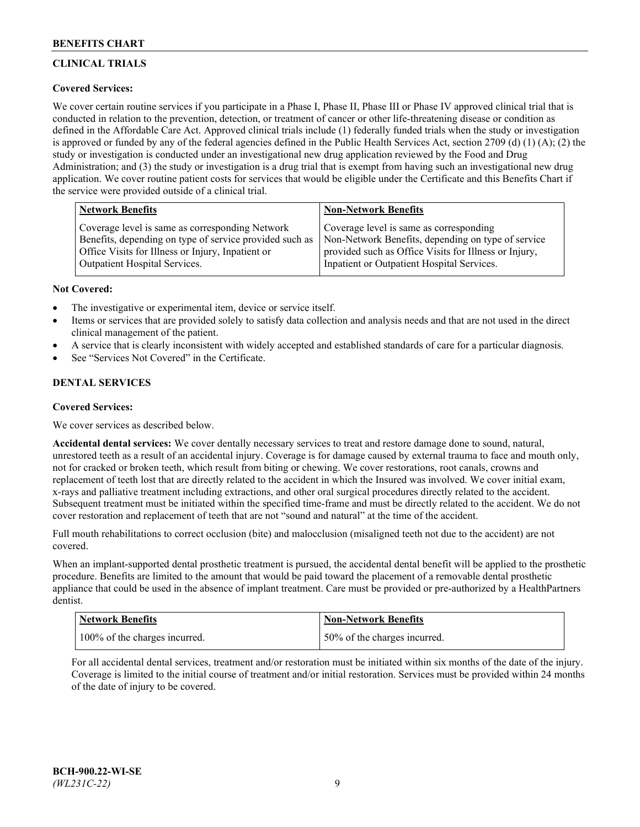# **CLINICAL TRIALS**

## **Covered Services:**

We cover certain routine services if you participate in a Phase I, Phase II, Phase III or Phase IV approved clinical trial that is conducted in relation to the prevention, detection, or treatment of cancer or other life-threatening disease or condition as defined in the Affordable Care Act. Approved clinical trials include (1) federally funded trials when the study or investigation is approved or funded by any of the federal agencies defined in the Public Health Services Act, section 2709 (d) (1) (A); (2) the study or investigation is conducted under an investigational new drug application reviewed by the Food and Drug Administration; and (3) the study or investigation is a drug trial that is exempt from having such an investigational new drug application. We cover routine patient costs for services that would be eligible under the Certificate and this Benefits Chart if the service were provided outside of a clinical trial.

| <b>Network Benefits</b>                                 | <b>Non-Network Benefits</b>                           |
|---------------------------------------------------------|-------------------------------------------------------|
| Coverage level is same as corresponding Network         | Coverage level is same as corresponding               |
| Benefits, depending on type of service provided such as | Non-Network Benefits, depending on type of service    |
| Office Visits for Illness or Injury, Inpatient or       | provided such as Office Visits for Illness or Injury, |
| Outpatient Hospital Services.                           | Inpatient or Outpatient Hospital Services.            |

### **Not Covered:**

- The investigative or experimental item, device or service itself.
- Items or services that are provided solely to satisfy data collection and analysis needs and that are not used in the direct clinical management of the patient.
- A service that is clearly inconsistent with widely accepted and established standards of care for a particular diagnosis.
- See "Services Not Covered" in the Certificate.

## **DENTAL SERVICES**

## **Covered Services:**

We cover services as described below.

**Accidental dental services:** We cover dentally necessary services to treat and restore damage done to sound, natural, unrestored teeth as a result of an accidental injury. Coverage is for damage caused by external trauma to face and mouth only, not for cracked or broken teeth, which result from biting or chewing. We cover restorations, root canals, crowns and replacement of teeth lost that are directly related to the accident in which the Insured was involved. We cover initial exam, x-rays and palliative treatment including extractions, and other oral surgical procedures directly related to the accident. Subsequent treatment must be initiated within the specified time-frame and must be directly related to the accident. We do not cover restoration and replacement of teeth that are not "sound and natural" at the time of the accident.

Full mouth rehabilitations to correct occlusion (bite) and malocclusion (misaligned teeth not due to the accident) are not covered.

When an implant-supported dental prosthetic treatment is pursued, the accidental dental benefit will be applied to the prosthetic procedure. Benefits are limited to the amount that would be paid toward the placement of a removable dental prosthetic appliance that could be used in the absence of implant treatment. Care must be provided or pre-authorized by a HealthPartners dentist.

| <b>Network Benefits</b>       | <b>Non-Network Benefits</b>  |
|-------------------------------|------------------------------|
| 100% of the charges incurred. | 50% of the charges incurred. |

For all accidental dental services, treatment and/or restoration must be initiated within six months of the date of the injury. Coverage is limited to the initial course of treatment and/or initial restoration. Services must be provided within 24 months of the date of injury to be covered.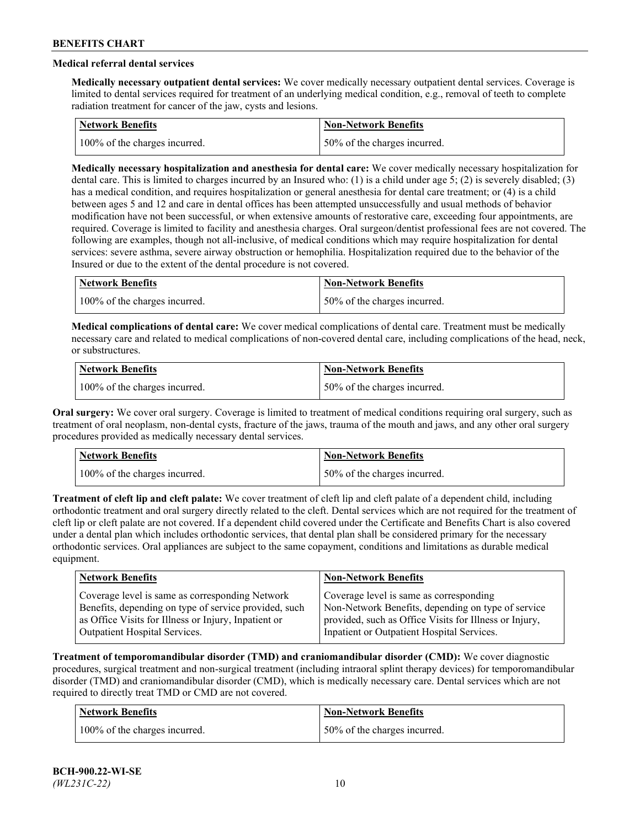## **Medical referral dental services**

**Medically necessary outpatient dental services:** We cover medically necessary outpatient dental services. Coverage is limited to dental services required for treatment of an underlying medical condition, e.g., removal of teeth to complete radiation treatment for cancer of the jaw, cysts and lesions.

| <b>Network Benefits</b>       | <b>Non-Network Benefits</b>   |
|-------------------------------|-------------------------------|
| 100% of the charges incurred. | 150% of the charges incurred. |

**Medically necessary hospitalization and anesthesia for dental care:** We cover medically necessary hospitalization for dental care. This is limited to charges incurred by an Insured who: (1) is a child under age 5; (2) is severely disabled; (3) has a medical condition, and requires hospitalization or general anesthesia for dental care treatment; or (4) is a child between ages 5 and 12 and care in dental offices has been attempted unsuccessfully and usual methods of behavior modification have not been successful, or when extensive amounts of restorative care, exceeding four appointments, are required. Coverage is limited to facility and anesthesia charges. Oral surgeon/dentist professional fees are not covered. The following are examples, though not all-inclusive, of medical conditions which may require hospitalization for dental services: severe asthma, severe airway obstruction or hemophilia. Hospitalization required due to the behavior of the Insured or due to the extent of the dental procedure is not covered.

| Network Benefits              | <b>Non-Network Benefits</b>  |
|-------------------------------|------------------------------|
| 100% of the charges incurred. | 50% of the charges incurred. |

**Medical complications of dental care:** We cover medical complications of dental care. Treatment must be medically necessary care and related to medical complications of non-covered dental care, including complications of the head, neck, or substructures.

| Network Benefits              | Non-Network Benefits         |
|-------------------------------|------------------------------|
| 100% of the charges incurred. | 50% of the charges incurred. |

**Oral surgery:** We cover oral surgery. Coverage is limited to treatment of medical conditions requiring oral surgery, such as treatment of oral neoplasm, non-dental cysts, fracture of the jaws, trauma of the mouth and jaws, and any other oral surgery procedures provided as medically necessary dental services.

| <b>Network Benefits</b>       | <b>Non-Network Benefits</b>   |
|-------------------------------|-------------------------------|
| 100% of the charges incurred. | 150% of the charges incurred. |

**Treatment of cleft lip and cleft palate:** We cover treatment of cleft lip and cleft palate of a dependent child, including orthodontic treatment and oral surgery directly related to the cleft. Dental services which are not required for the treatment of cleft lip or cleft palate are not covered. If a dependent child covered under the Certificate and Benefits Chart is also covered under a dental plan which includes orthodontic services, that dental plan shall be considered primary for the necessary orthodontic services. Oral appliances are subject to the same copayment, conditions and limitations as durable medical equipment.

| <b>Network Benefits</b>                               | <b>Non-Network Benefits</b>                            |
|-------------------------------------------------------|--------------------------------------------------------|
| Coverage level is same as corresponding Network       | Coverage level is same as corresponding                |
| Benefits, depending on type of service provided, such | Non-Network Benefits, depending on type of service     |
| as Office Visits for Illness or Injury, Inpatient or  | provided, such as Office Visits for Illness or Injury, |
| Outpatient Hospital Services.                         | Inpatient or Outpatient Hospital Services.             |

**Treatment of temporomandibular disorder (TMD) and craniomandibular disorder (CMD):** We cover diagnostic procedures, surgical treatment and non-surgical treatment (including intraoral splint therapy devices) for temporomandibular disorder (TMD) and craniomandibular disorder (CMD), which is medically necessary care. Dental services which are not required to directly treat TMD or CMD are not covered.

| <b>Network Benefits</b>       | <b>Non-Network Benefits</b>   |
|-------------------------------|-------------------------------|
| 100% of the charges incurred. | 150% of the charges incurred. |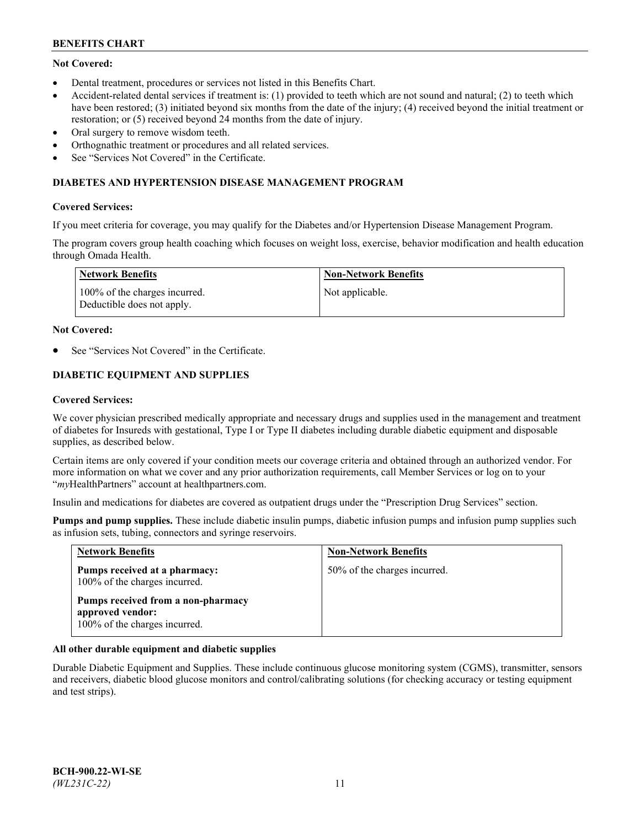## **Not Covered:**

- Dental treatment, procedures or services not listed in this Benefits Chart.
- Accident-related dental services if treatment is: (1) provided to teeth which are not sound and natural; (2) to teeth which have been restored; (3) initiated beyond six months from the date of the injury; (4) received beyond the initial treatment or restoration; or (5) received beyond 24 months from the date of injury.
- Oral surgery to remove wisdom teeth.
- Orthognathic treatment or procedures and all related services.
- See "Services Not Covered" in the Certificate.

### **DIABETES AND HYPERTENSION DISEASE MANAGEMENT PROGRAM**

### **Covered Services:**

If you meet criteria for coverage, you may qualify for the Diabetes and/or Hypertension Disease Management Program.

The program covers group health coaching which focuses on weight loss, exercise, behavior modification and health education through Omada Health.

| Network Benefits                                            | Non-Network Benefits |
|-------------------------------------------------------------|----------------------|
| 100% of the charges incurred.<br>Deductible does not apply. | Not applicable.      |

#### **Not Covered:**

See "Services Not Covered" in the Certificate.

## **DIABETIC EQUIPMENT AND SUPPLIES**

### **Covered Services:**

We cover physician prescribed medically appropriate and necessary drugs and supplies used in the management and treatment of diabetes for Insureds with gestational, Type I or Type II diabetes including durable diabetic equipment and disposable supplies, as described below.

Certain items are only covered if your condition meets our coverage criteria and obtained through an authorized vendor. For more information on what we cover and any prior authorization requirements, call Member Services or log on to your "*my*HealthPartners" account at [healthpartners.com.](http://www.healthpartners.com/)

Insulin and medications for diabetes are covered as outpatient drugs under the "Prescription Drug Services" section.

**Pumps and pump supplies.** These include diabetic insulin pumps, diabetic infusion pumps and infusion pump supplies such as infusion sets, tubing, connectors and syringe reservoirs.

| <b>Network Benefits</b>                                                                 | <b>Non-Network Benefits</b>  |
|-----------------------------------------------------------------------------------------|------------------------------|
| Pumps received at a pharmacy:<br>100% of the charges incurred.                          | 50% of the charges incurred. |
| Pumps received from a non-pharmacy<br>approved vendor:<br>100% of the charges incurred. |                              |

## **All other durable equipment and diabetic supplies**

Durable Diabetic Equipment and Supplies. These include continuous glucose monitoring system (CGMS), transmitter, sensors and receivers, diabetic blood glucose monitors and control/calibrating solutions (for checking accuracy or testing equipment and test strips).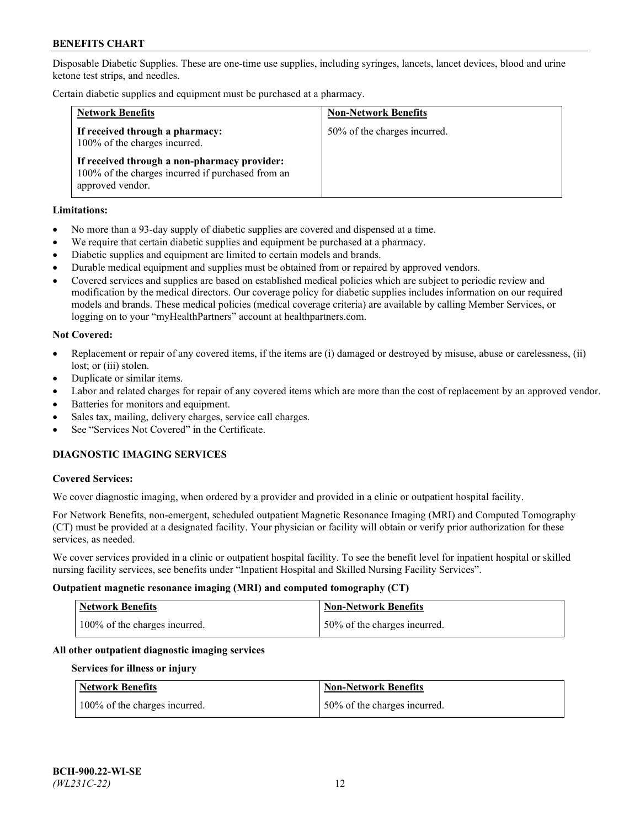Disposable Diabetic Supplies. These are one-time use supplies, including syringes, lancets, lancet devices, blood and urine ketone test strips, and needles.

Certain diabetic supplies and equipment must be purchased at a pharmacy.

| <b>Network Benefits</b>                                                                                               | <b>Non-Network Benefits</b>  |
|-----------------------------------------------------------------------------------------------------------------------|------------------------------|
| If received through a pharmacy:<br>100% of the charges incurred.                                                      | 50% of the charges incurred. |
| If received through a non-pharmacy provider:<br>100% of the charges incurred if purchased from an<br>approved vendor. |                              |

### **Limitations:**

- No more than a 93-day supply of diabetic supplies are covered and dispensed at a time.
- We require that certain diabetic supplies and equipment be purchased at a pharmacy.
- Diabetic supplies and equipment are limited to certain models and brands.
- Durable medical equipment and supplies must be obtained from or repaired by approved vendors.
- Covered services and supplies are based on established medical policies which are subject to periodic review and modification by the medical directors. Our coverage policy for diabetic supplies includes information on our required models and brands. These medical policies (medical coverage criteria) are available by calling Member Services, or logging on to your "myHealthPartners" account at [healthpartners.com.](http://www.healthpartners.com/)

### **Not Covered:**

- Replacement or repair of any covered items, if the items are (i) damaged or destroyed by misuse, abuse or carelessness, (ii) lost; or (iii) stolen.
- Duplicate or similar items.
- Labor and related charges for repair of any covered items which are more than the cost of replacement by an approved vendor.
- Batteries for monitors and equipment.
- Sales tax, mailing, delivery charges, service call charges.
- See "Services Not Covered" in the Certificate.

## **DIAGNOSTIC IMAGING SERVICES**

#### **Covered Services:**

We cover diagnostic imaging, when ordered by a provider and provided in a clinic or outpatient hospital facility.

For Network Benefits, non-emergent, scheduled outpatient Magnetic Resonance Imaging (MRI) and Computed Tomography (CT) must be provided at a designated facility. Your physician or facility will obtain or verify prior authorization for these services, as needed.

We cover services provided in a clinic or outpatient hospital facility. To see the benefit level for inpatient hospital or skilled nursing facility services, see benefits under "Inpatient Hospital and Skilled Nursing Facility Services".

#### **Outpatient magnetic resonance imaging (MRI) and computed tomography (CT)**

| <b>Network Benefits</b>       | <b>Non-Network Benefits</b>   |
|-------------------------------|-------------------------------|
| 100% of the charges incurred. | 150% of the charges incurred. |

## **All other outpatient diagnostic imaging services**

#### **Services for illness or injury**

| <b>Network Benefits</b>       | <b>Non-Network Benefits</b>  |
|-------------------------------|------------------------------|
| 100% of the charges incurred. | 50% of the charges incurred. |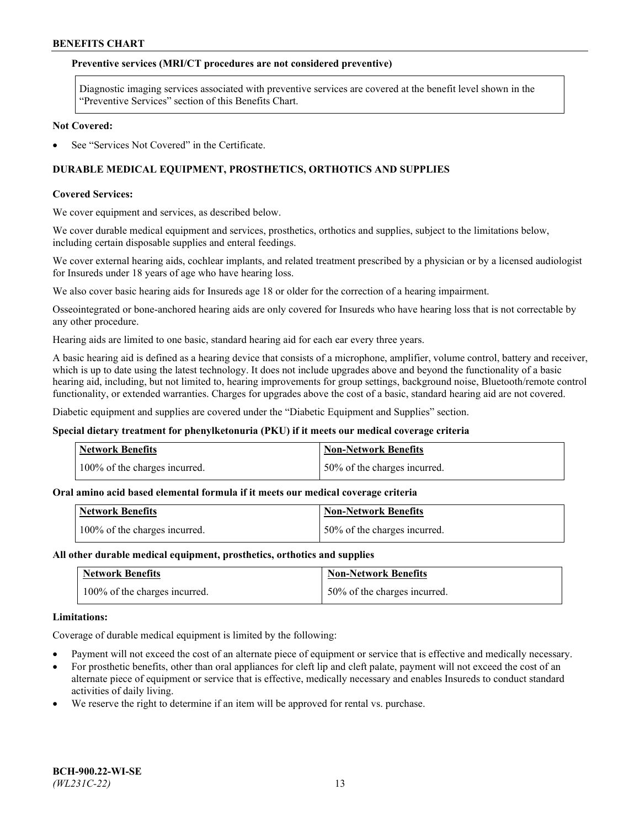### **Preventive services (MRI/CT procedures are not considered preventive)**

Diagnostic imaging services associated with preventive services are covered at the benefit level shown in the "Preventive Services" section of this Benefits Chart.

#### **Not Covered:**

See "Services Not Covered" in the Certificate.

## **DURABLE MEDICAL EQUIPMENT, PROSTHETICS, ORTHOTICS AND SUPPLIES**

#### **Covered Services:**

We cover equipment and services, as described below.

We cover durable medical equipment and services, prosthetics, orthotics and supplies, subject to the limitations below, including certain disposable supplies and enteral feedings.

We cover external hearing aids, cochlear implants, and related treatment prescribed by a physician or by a licensed audiologist for Insureds under 18 years of age who have hearing loss.

We also cover basic hearing aids for Insureds age 18 or older for the correction of a hearing impairment.

Osseointegrated or bone-anchored hearing aids are only covered for Insureds who have hearing loss that is not correctable by any other procedure.

Hearing aids are limited to one basic, standard hearing aid for each ear every three years.

A basic hearing aid is defined as a hearing device that consists of a microphone, amplifier, volume control, battery and receiver, which is up to date using the latest technology. It does not include upgrades above and beyond the functionality of a basic hearing aid, including, but not limited to, hearing improvements for group settings, background noise, Bluetooth/remote control functionality, or extended warranties. Charges for upgrades above the cost of a basic, standard hearing aid are not covered.

Diabetic equipment and supplies are covered under the "Diabetic Equipment and Supplies" section.

#### **Special dietary treatment for phenylketonuria (PKU) if it meets our medical coverage criteria**

| <b>Network Benefits</b>       | <b>Non-Network Benefits</b>  |
|-------------------------------|------------------------------|
| 100% of the charges incurred. | 50% of the charges incurred. |

#### **Oral amino acid based elemental formula if it meets our medical coverage criteria**

| <b>Network Benefits</b>       | Non-Network Benefits         |
|-------------------------------|------------------------------|
| 100% of the charges incurred. | 50% of the charges incurred. |

#### **All other durable medical equipment, prosthetics, orthotics and supplies**

| <b>Network Benefits</b>       | <b>Non-Network Benefits</b>  |
|-------------------------------|------------------------------|
| 100% of the charges incurred. | 50% of the charges incurred. |

#### **Limitations:**

Coverage of durable medical equipment is limited by the following:

- Payment will not exceed the cost of an alternate piece of equipment or service that is effective and medically necessary.
- For prosthetic benefits, other than oral appliances for cleft lip and cleft palate, payment will not exceed the cost of an alternate piece of equipment or service that is effective, medically necessary and enables Insureds to conduct standard activities of daily living.
- We reserve the right to determine if an item will be approved for rental vs. purchase.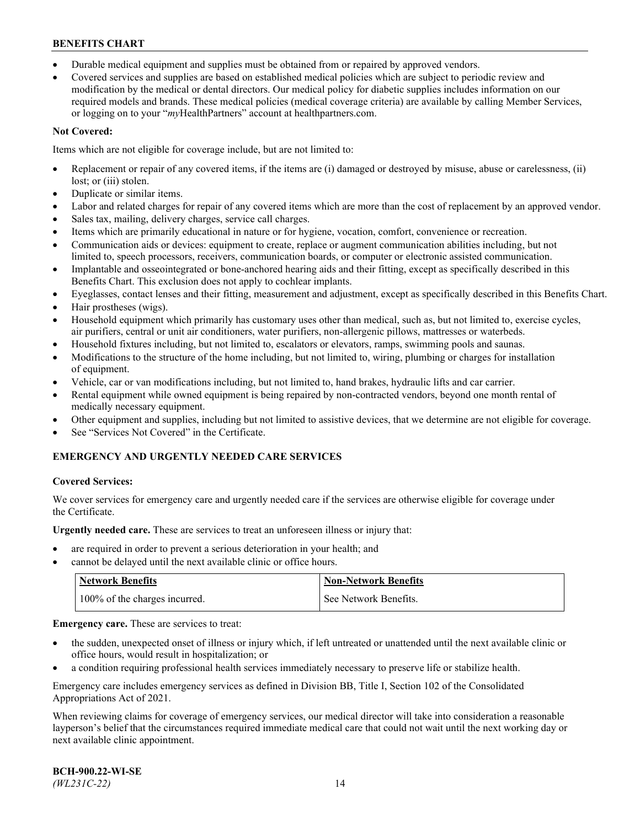- Durable medical equipment and supplies must be obtained from or repaired by approved vendors.
- Covered services and supplies are based on established medical policies which are subject to periodic review and modification by the medical or dental directors. Our medical policy for diabetic supplies includes information on our required models and brands. These medical policies (medical coverage criteria) are available by calling Member Services, or logging on to your "*my*HealthPartners" account a[t healthpartners.com.](http://www.healthpartners.com/)

## **Not Covered:**

Items which are not eligible for coverage include, but are not limited to:

- Replacement or repair of any covered items, if the items are (i) damaged or destroyed by misuse, abuse or carelessness, (ii) lost; or (iii) stolen.
- Duplicate or similar items.
- Labor and related charges for repair of any covered items which are more than the cost of replacement by an approved vendor.
- Sales tax, mailing, delivery charges, service call charges.
- Items which are primarily educational in nature or for hygiene, vocation, comfort, convenience or recreation.
- Communication aids or devices: equipment to create, replace or augment communication abilities including, but not limited to, speech processors, receivers, communication boards, or computer or electronic assisted communication.
- Implantable and osseointegrated or bone-anchored hearing aids and their fitting, except as specifically described in this Benefits Chart. This exclusion does not apply to cochlear implants.
- Eyeglasses, contact lenses and their fitting, measurement and adjustment, except as specifically described in this Benefits Chart.
- Hair prostheses (wigs).
- Household equipment which primarily has customary uses other than medical, such as, but not limited to, exercise cycles, air purifiers, central or unit air conditioners, water purifiers, non-allergenic pillows, mattresses or waterbeds.
- Household fixtures including, but not limited to, escalators or elevators, ramps, swimming pools and saunas.
- Modifications to the structure of the home including, but not limited to, wiring, plumbing or charges for installation of equipment.
- Vehicle, car or van modifications including, but not limited to, hand brakes, hydraulic lifts and car carrier.
- Rental equipment while owned equipment is being repaired by non-contracted vendors, beyond one month rental of medically necessary equipment.
- Other equipment and supplies, including but not limited to assistive devices, that we determine are not eligible for coverage.
- See "Services Not Covered" in the Certificate.

## **EMERGENCY AND URGENTLY NEEDED CARE SERVICES**

## **Covered Services:**

We cover services for emergency care and urgently needed care if the services are otherwise eligible for coverage under the Certificate.

**Urgently needed care.** These are services to treat an unforeseen illness or injury that:

- are required in order to prevent a serious deterioration in your health; and
- cannot be delayed until the next available clinic or office hours.

| <b>Network Benefits</b>       | Non-Network Benefits  |
|-------------------------------|-----------------------|
| 100% of the charges incurred. | See Network Benefits. |

**Emergency care.** These are services to treat:

- the sudden, unexpected onset of illness or injury which, if left untreated or unattended until the next available clinic or office hours, would result in hospitalization; or
- a condition requiring professional health services immediately necessary to preserve life or stabilize health.

Emergency care includes emergency services as defined in Division BB, Title I, Section 102 of the Consolidated Appropriations Act of 2021.

When reviewing claims for coverage of emergency services, our medical director will take into consideration a reasonable layperson's belief that the circumstances required immediate medical care that could not wait until the next working day or next available clinic appointment.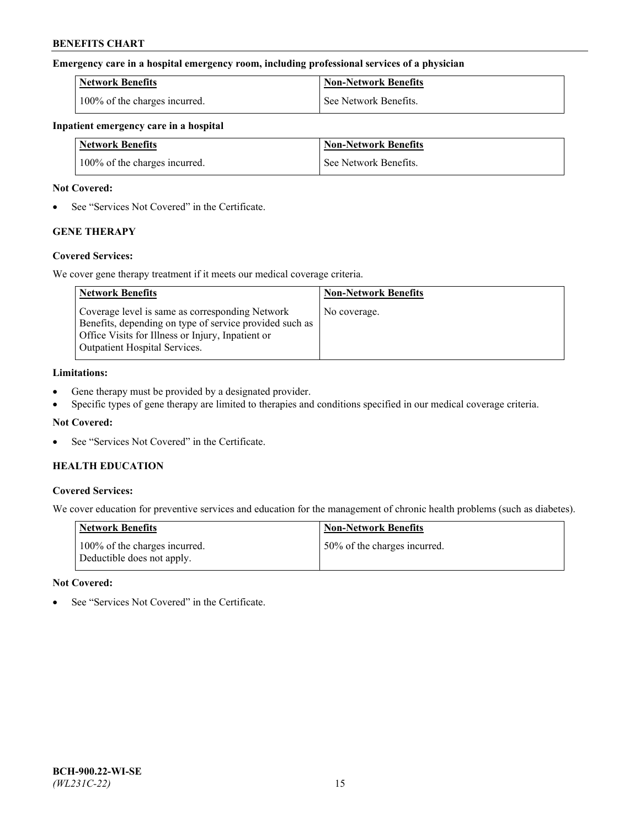### **Emergency care in a hospital emergency room, including professional services of a physician**

| <b>Network Benefits</b>       | <b>Non-Network Benefits</b> |
|-------------------------------|-----------------------------|
| 100% of the charges incurred. | See Network Benefits.       |

### **Inpatient emergency care in a hospital**

| <b>Network Benefits</b>       | <b>Non-Network Benefits</b> |
|-------------------------------|-----------------------------|
| 100% of the charges incurred. | See Network Benefits.       |

### **Not Covered:**

• See "Services Not Covered" in the Certificate.

## **GENE THERAPY**

## **Covered Services:**

We cover gene therapy treatment if it meets our medical coverage criteria.

| <b>Network Benefits</b>                                                                                                                                                                          | <b>Non-Network Benefits</b> |
|--------------------------------------------------------------------------------------------------------------------------------------------------------------------------------------------------|-----------------------------|
| Coverage level is same as corresponding Network<br>Benefits, depending on type of service provided such as<br>Office Visits for Illness or Injury, Inpatient or<br>Outpatient Hospital Services. | No coverage.                |

### **Limitations:**

- Gene therapy must be provided by a designated provider.
- Specific types of gene therapy are limited to therapies and conditions specified in our medical coverage criteria.

## **Not Covered:**

See "Services Not Covered" in the Certificate.

## **HEALTH EDUCATION**

## **Covered Services:**

We cover education for preventive services and education for the management of chronic health problems (such as diabetes).

| <b>Network Benefits</b>                                     | <b>Non-Network Benefits</b>  |
|-------------------------------------------------------------|------------------------------|
| 100% of the charges incurred.<br>Deductible does not apply. | 50% of the charges incurred. |

#### **Not Covered:**

See "Services Not Covered" in the Certificate.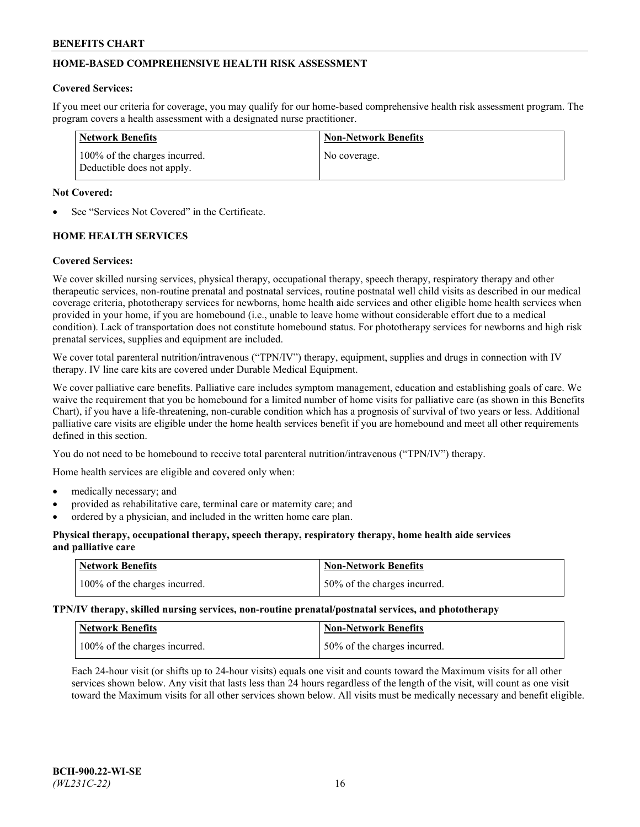## **HOME-BASED COMPREHENSIVE HEALTH RISK ASSESSMENT**

### **Covered Services:**

If you meet our criteria for coverage, you may qualify for our home-based comprehensive health risk assessment program. The program covers a health assessment with a designated nurse practitioner.

| Network Benefits                                            | <b>Non-Network Benefits</b> |
|-------------------------------------------------------------|-----------------------------|
| 100% of the charges incurred.<br>Deductible does not apply. | No coverage.                |

### **Not Covered:**

See "Services Not Covered" in the Certificate.

## **HOME HEALTH SERVICES**

### **Covered Services:**

We cover skilled nursing services, physical therapy, occupational therapy, speech therapy, respiratory therapy and other therapeutic services, non-routine prenatal and postnatal services, routine postnatal well child visits as described in our medical coverage criteria, phototherapy services for newborns, home health aide services and other eligible home health services when provided in your home, if you are homebound (i.e., unable to leave home without considerable effort due to a medical condition). Lack of transportation does not constitute homebound status. For phototherapy services for newborns and high risk prenatal services, supplies and equipment are included.

We cover total parenteral nutrition/intravenous ("TPN/IV") therapy, equipment, supplies and drugs in connection with IV therapy. IV line care kits are covered under Durable Medical Equipment.

We cover palliative care benefits. Palliative care includes symptom management, education and establishing goals of care. We waive the requirement that you be homebound for a limited number of home visits for palliative care (as shown in this Benefits Chart), if you have a life-threatening, non-curable condition which has a prognosis of survival of two years or less. Additional palliative care visits are eligible under the home health services benefit if you are homebound and meet all other requirements defined in this section.

You do not need to be homebound to receive total parenteral nutrition/intravenous ("TPN/IV") therapy.

Home health services are eligible and covered only when:

- medically necessary; and
- provided as rehabilitative care, terminal care or maternity care; and
- ordered by a physician, and included in the written home care plan.

### **Physical therapy, occupational therapy, speech therapy, respiratory therapy, home health aide services and palliative care**

| <b>Network Benefits</b>       | <b>Non-Network Benefits</b>  |
|-------------------------------|------------------------------|
| 100% of the charges incurred. | 50% of the charges incurred. |

**TPN/IV therapy, skilled nursing services, non-routine prenatal/postnatal services, and phototherapy**

| Network Benefits              | Non-Network Benefits         |
|-------------------------------|------------------------------|
| 100% of the charges incurred. | 50% of the charges incurred. |

Each 24-hour visit (or shifts up to 24-hour visits) equals one visit and counts toward the Maximum visits for all other services shown below. Any visit that lasts less than 24 hours regardless of the length of the visit, will count as one visit toward the Maximum visits for all other services shown below. All visits must be medically necessary and benefit eligible.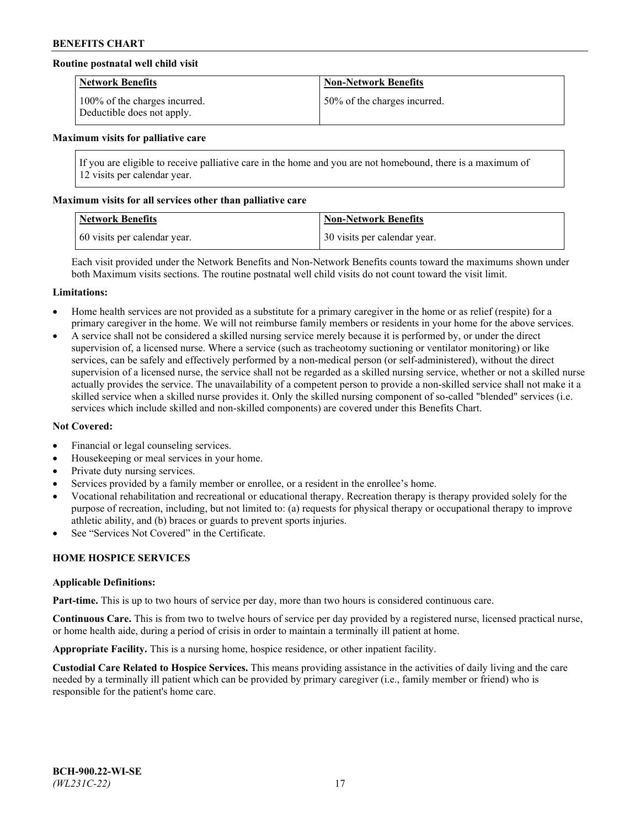## **Routine postnatal well child visit**

| <b>Network Benefits</b>                                     | <b>Non-Network Benefits</b>  |
|-------------------------------------------------------------|------------------------------|
| 100% of the charges incurred.<br>Deductible does not apply. | 50% of the charges incurred. |

#### **Maximum visits for palliative care**

If you are eligible to receive palliative care in the home and you are not homebound, there is a maximum of 12 visits per calendar year.

### **Maximum visits for all services other than palliative care**

| <b>Network Benefits</b>      | <b>Non-Network Benefits</b>  |
|------------------------------|------------------------------|
| 60 visits per calendar year. | 30 visits per calendar year. |

Each visit provided under the Network Benefits and Non-Network Benefits counts toward the maximums shown under both Maximum visits sections. The routine postnatal well child visits do not count toward the visit limit.

#### **Limitations:**

- Home health services are not provided as a substitute for a primary caregiver in the home or as relief (respite) for a primary caregiver in the home. We will not reimburse family members or residents in your home for the above services.
- A service shall not be considered a skilled nursing service merely because it is performed by, or under the direct supervision of, a licensed nurse. Where a service (such as tracheotomy suctioning or ventilator monitoring) or like services, can be safely and effectively performed by a non-medical person (or self-administered), without the direct supervision of a licensed nurse, the service shall not be regarded as a skilled nursing service, whether or not a skilled nurse actually provides the service. The unavailability of a competent person to provide a non-skilled service shall not make it a skilled service when a skilled nurse provides it. Only the skilled nursing component of so-called "blended" services (i.e. services which include skilled and non-skilled components) are covered under this Benefits Chart.

#### **Not Covered:**

- Financial or legal counseling services.
- Housekeeping or meal services in your home.
- Private duty nursing services.
- Services provided by a family member or enrollee, or a resident in the enrollee's home.
- Vocational rehabilitation and recreational or educational therapy. Recreation therapy is therapy provided solely for the purpose of recreation, including, but not limited to: (a) requests for physical therapy or occupational therapy to improve athletic ability, and (b) braces or guards to prevent sports injuries.
- See "Services Not Covered" in the Certificate.

## **HOME HOSPICE SERVICES**

#### **Applicable Definitions:**

**Part-time.** This is up to two hours of service per day, more than two hours is considered continuous care.

**Continuous Care.** This is from two to twelve hours of service per day provided by a registered nurse, licensed practical nurse, or home health aide, during a period of crisis in order to maintain a terminally ill patient at home.

**Appropriate Facility.** This is a nursing home, hospice residence, or other inpatient facility.

**Custodial Care Related to Hospice Services.** This means providing assistance in the activities of daily living and the care needed by a terminally ill patient which can be provided by primary caregiver (i.e., family member or friend) who is responsible for the patient's home care.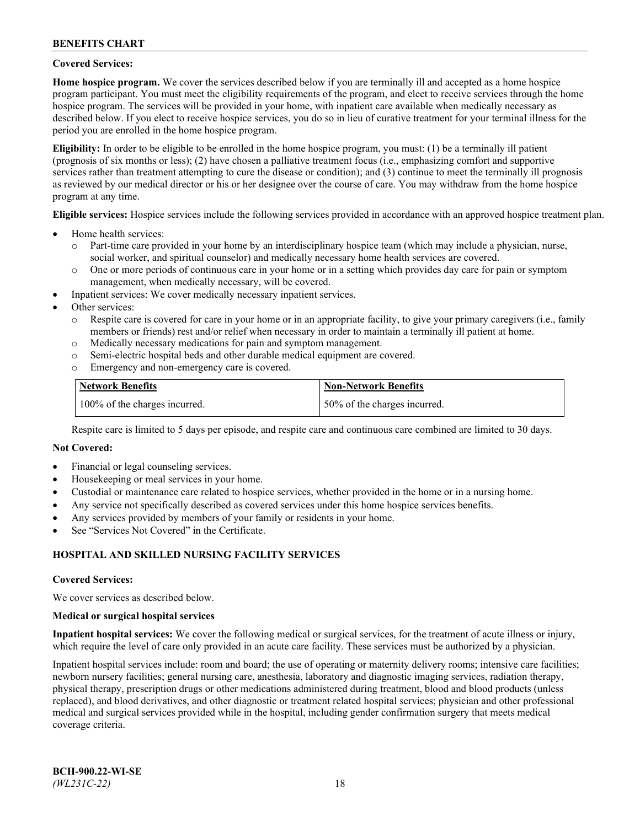### **Covered Services:**

**Home hospice program.** We cover the services described below if you are terminally ill and accepted as a home hospice program participant. You must meet the eligibility requirements of the program, and elect to receive services through the home hospice program. The services will be provided in your home, with inpatient care available when medically necessary as described below. If you elect to receive hospice services, you do so in lieu of curative treatment for your terminal illness for the period you are enrolled in the home hospice program.

**Eligibility:** In order to be eligible to be enrolled in the home hospice program, you must: (1) be a terminally ill patient (prognosis of six months or less); (2) have chosen a palliative treatment focus (i.e., emphasizing comfort and supportive services rather than treatment attempting to cure the disease or condition); and (3) continue to meet the terminally ill prognosis as reviewed by our medical director or his or her designee over the course of care. You may withdraw from the home hospice program at any time.

**Eligible services:** Hospice services include the following services provided in accordance with an approved hospice treatment plan.

- Home health services:
	- o Part-time care provided in your home by an interdisciplinary hospice team (which may include a physician, nurse, social worker, and spiritual counselor) and medically necessary home health services are covered.
	- o One or more periods of continuous care in your home or in a setting which provides day care for pain or symptom management, when medically necessary, will be covered.
- Inpatient services: We cover medically necessary inpatient services.
- Other services:
	- o Respite care is covered for care in your home or in an appropriate facility, to give your primary caregivers (i.e., family members or friends) rest and/or relief when necessary in order to maintain a terminally ill patient at home.
	- o Medically necessary medications for pain and symptom management.
	- o Semi-electric hospital beds and other durable medical equipment are covered.
	- Emergency and non-emergency care is covered.

| Network Benefits              | <b>Non-Network Benefits</b>  |
|-------------------------------|------------------------------|
| 100% of the charges incurred. | 50% of the charges incurred. |

Respite care is limited to 5 days per episode, and respite care and continuous care combined are limited to 30 days.

### **Not Covered:**

- Financial or legal counseling services.
- Housekeeping or meal services in your home.
- Custodial or maintenance care related to hospice services, whether provided in the home or in a nursing home.
- Any service not specifically described as covered services under this home hospice services benefits.
- Any services provided by members of your family or residents in your home.
- See "Services Not Covered" in the Certificate.

## **HOSPITAL AND SKILLED NURSING FACILITY SERVICES**

#### **Covered Services:**

We cover services as described below.

#### **Medical or surgical hospital services**

**Inpatient hospital services:** We cover the following medical or surgical services, for the treatment of acute illness or injury, which require the level of care only provided in an acute care facility. These services must be authorized by a physician.

Inpatient hospital services include: room and board; the use of operating or maternity delivery rooms; intensive care facilities; newborn nursery facilities; general nursing care, anesthesia, laboratory and diagnostic imaging services, radiation therapy, physical therapy, prescription drugs or other medications administered during treatment, blood and blood products (unless replaced), and blood derivatives, and other diagnostic or treatment related hospital services; physician and other professional medical and surgical services provided while in the hospital, including gender confirmation surgery that meets medical coverage criteria.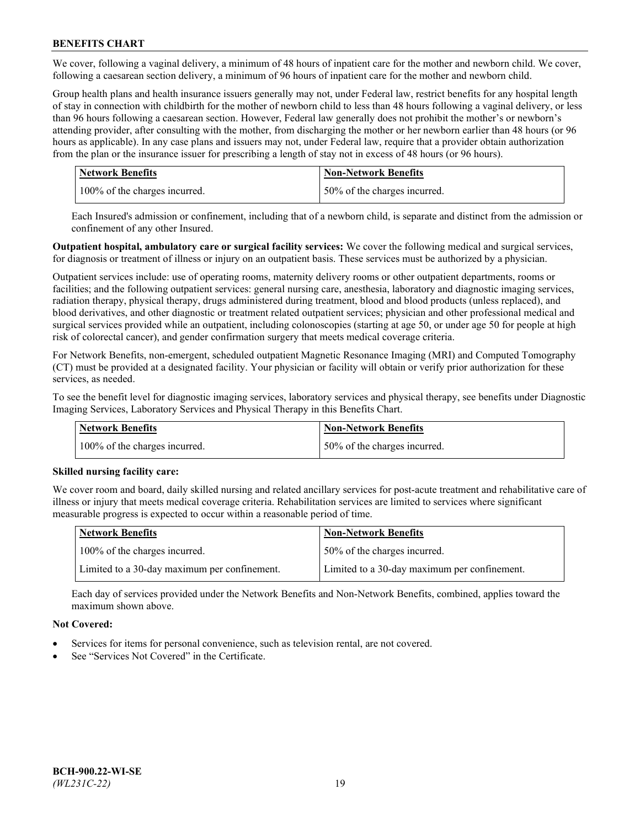We cover, following a vaginal delivery, a minimum of 48 hours of inpatient care for the mother and newborn child. We cover, following a caesarean section delivery, a minimum of 96 hours of inpatient care for the mother and newborn child.

Group health plans and health insurance issuers generally may not, under Federal law, restrict benefits for any hospital length of stay in connection with childbirth for the mother of newborn child to less than 48 hours following a vaginal delivery, or less than 96 hours following a caesarean section. However, Federal law generally does not prohibit the mother's or newborn's attending provider, after consulting with the mother, from discharging the mother or her newborn earlier than 48 hours (or 96 hours as applicable). In any case plans and issuers may not, under Federal law, require that a provider obtain authorization from the plan or the insurance issuer for prescribing a length of stay not in excess of 48 hours (or 96 hours).

| <b>Network Benefits</b>       | <b>Non-Network Benefits</b>  |
|-------------------------------|------------------------------|
| 100% of the charges incurred. | 50% of the charges incurred. |

Each Insured's admission or confinement, including that of a newborn child, is separate and distinct from the admission or confinement of any other Insured.

**Outpatient hospital, ambulatory care or surgical facility services:** We cover the following medical and surgical services, for diagnosis or treatment of illness or injury on an outpatient basis. These services must be authorized by a physician.

Outpatient services include: use of operating rooms, maternity delivery rooms or other outpatient departments, rooms or facilities; and the following outpatient services: general nursing care, anesthesia, laboratory and diagnostic imaging services, radiation therapy, physical therapy, drugs administered during treatment, blood and blood products (unless replaced), and blood derivatives, and other diagnostic or treatment related outpatient services; physician and other professional medical and surgical services provided while an outpatient, including colonoscopies (starting at age 50, or under age 50 for people at high risk of colorectal cancer), and gender confirmation surgery that meets medical coverage criteria.

For Network Benefits, non-emergent, scheduled outpatient Magnetic Resonance Imaging (MRI) and Computed Tomography (CT) must be provided at a designated facility. Your physician or facility will obtain or verify prior authorization for these services, as needed.

To see the benefit level for diagnostic imaging services, laboratory services and physical therapy, see benefits under Diagnostic Imaging Services, Laboratory Services and Physical Therapy in this Benefits Chart.

| <b>Network Benefits</b>       | <b>Non-Network Benefits</b>  |
|-------------------------------|------------------------------|
| 100% of the charges incurred. | 50% of the charges incurred. |

## **Skilled nursing facility care:**

We cover room and board, daily skilled nursing and related ancillary services for post-acute treatment and rehabilitative care of illness or injury that meets medical coverage criteria. Rehabilitation services are limited to services where significant measurable progress is expected to occur within a reasonable period of time.

| Network Benefits                             | <b>Non-Network Benefits</b>                  |
|----------------------------------------------|----------------------------------------------|
| 100% of the charges incurred.                | 50% of the charges incurred.                 |
| Limited to a 30-day maximum per confinement. | Limited to a 30-day maximum per confinement. |

Each day of services provided under the Network Benefits and Non-Network Benefits, combined, applies toward the maximum shown above.

## **Not Covered:**

- Services for items for personal convenience, such as television rental, are not covered.
- See "Services Not Covered" in the Certificate.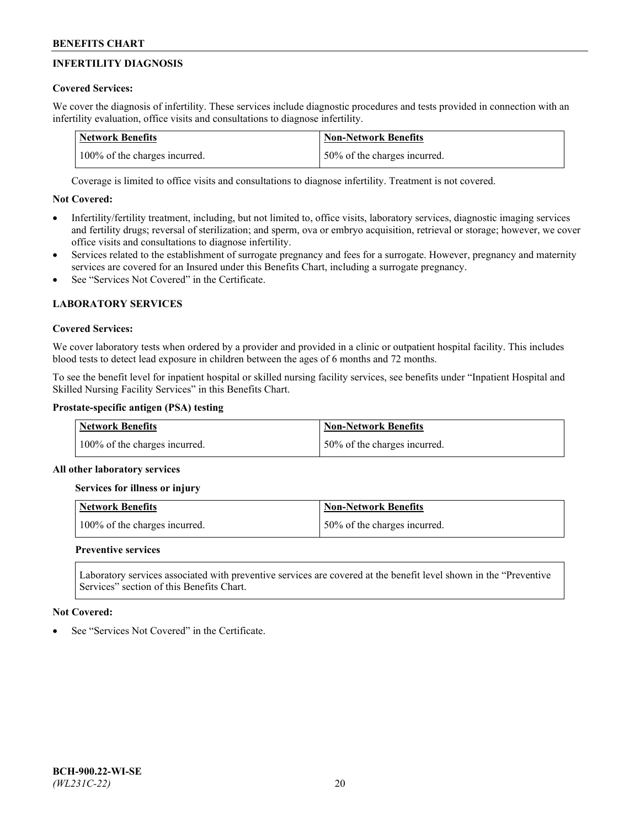# **INFERTILITY DIAGNOSIS**

## **Covered Services:**

We cover the diagnosis of infertility. These services include diagnostic procedures and tests provided in connection with an infertility evaluation, office visits and consultations to diagnose infertility.

| <b>Network Benefits</b>       | <b>Non-Network Benefits</b>  |
|-------------------------------|------------------------------|
| 100% of the charges incurred. | 50% of the charges incurred. |

Coverage is limited to office visits and consultations to diagnose infertility. Treatment is not covered.

## **Not Covered:**

- Infertility/fertility treatment, including, but not limited to, office visits, laboratory services, diagnostic imaging services and fertility drugs; reversal of sterilization; and sperm, ova or embryo acquisition, retrieval or storage; however, we cover office visits and consultations to diagnose infertility.
- Services related to the establishment of surrogate pregnancy and fees for a surrogate. However, pregnancy and maternity services are covered for an Insured under this Benefits Chart, including a surrogate pregnancy.
- See "Services Not Covered" in the Certificate

# **LABORATORY SERVICES**

## **Covered Services:**

We cover laboratory tests when ordered by a provider and provided in a clinic or outpatient hospital facility. This includes blood tests to detect lead exposure in children between the ages of 6 months and 72 months.

To see the benefit level for inpatient hospital or skilled nursing facility services, see benefits under "Inpatient Hospital and Skilled Nursing Facility Services" in this Benefits Chart.

## **Prostate-specific antigen (PSA) testing**

| Network Benefits              | <b>Non-Network Benefits</b>  |
|-------------------------------|------------------------------|
| 100% of the charges incurred. | 50% of the charges incurred. |

## **All other laboratory services**

**Services for illness or injury**

| <b>Network Benefits</b>       | Non-Network Benefits         |
|-------------------------------|------------------------------|
| 100% of the charges incurred. | 50% of the charges incurred. |

## **Preventive services**

Laboratory services associated with preventive services are covered at the benefit level shown in the "Preventive Services" section of this Benefits Chart.

## **Not Covered:**

See "Services Not Covered" in the Certificate.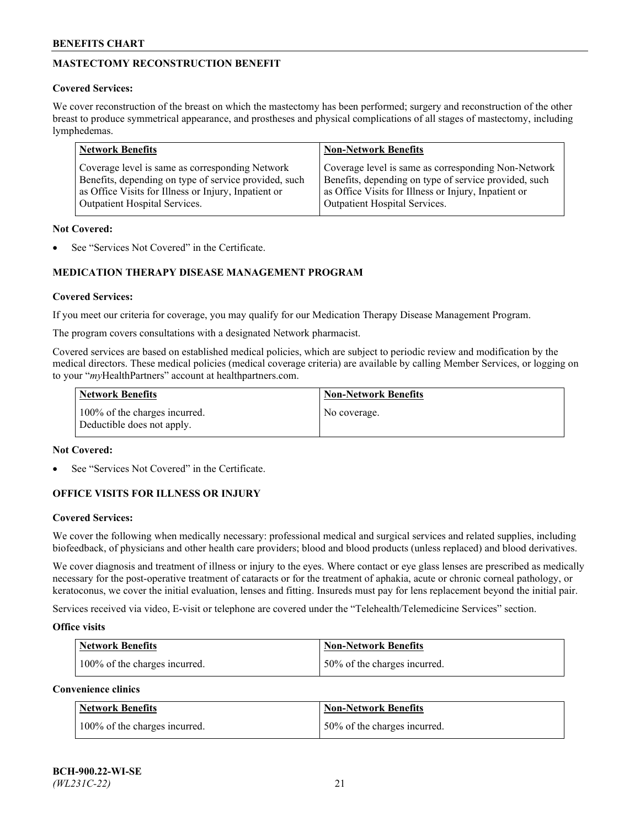# **MASTECTOMY RECONSTRUCTION BENEFIT**

## **Covered Services:**

We cover reconstruction of the breast on which the mastectomy has been performed; surgery and reconstruction of the other breast to produce symmetrical appearance, and prostheses and physical complications of all stages of mastectomy, including lymphedemas.

| <b>Network Benefits</b>                               | <b>Non-Network Benefits</b>                           |
|-------------------------------------------------------|-------------------------------------------------------|
| Coverage level is same as corresponding Network       | Coverage level is same as corresponding Non-Network   |
| Benefits, depending on type of service provided, such | Benefits, depending on type of service provided, such |
| as Office Visits for Illness or Injury, Inpatient or  | as Office Visits for Illness or Injury, Inpatient or  |
| Outpatient Hospital Services.                         | Outpatient Hospital Services.                         |

### **Not Covered:**

See "Services Not Covered" in the Certificate.

## **MEDICATION THERAPY DISEASE MANAGEMENT PROGRAM**

## **Covered Services:**

If you meet our criteria for coverage, you may qualify for our Medication Therapy Disease Management Program.

The program covers consultations with a designated Network pharmacist.

Covered services are based on established medical policies, which are subject to periodic review and modification by the medical directors. These medical policies (medical coverage criteria) are available by calling Member Services, or logging on to your "*my*HealthPartners" account at [healthpartners.com.](http://www.healthpartners.com/)

| Network Benefits                                            | <b>Non-Network Benefits</b> |
|-------------------------------------------------------------|-----------------------------|
| 100% of the charges incurred.<br>Deductible does not apply. | No coverage.                |

### **Not Covered:**

See "Services Not Covered" in the Certificate.

## **OFFICE VISITS FOR ILLNESS OR INJURY**

#### **Covered Services:**

We cover the following when medically necessary: professional medical and surgical services and related supplies, including biofeedback, of physicians and other health care providers; blood and blood products (unless replaced) and blood derivatives.

We cover diagnosis and treatment of illness or injury to the eyes. Where contact or eye glass lenses are prescribed as medically necessary for the post-operative treatment of cataracts or for the treatment of aphakia, acute or chronic corneal pathology, or keratoconus, we cover the initial evaluation, lenses and fitting. Insureds must pay for lens replacement beyond the initial pair.

Services received via video, E-visit or telephone are covered under the "Telehealth/Telemedicine Services" section.

#### **Office visits**

| <b>Network Benefits</b>       | <b>Non-Network Benefits</b>   |
|-------------------------------|-------------------------------|
| 100% of the charges incurred. | 150% of the charges incurred. |

**Convenience clinics**

| <b>Network Benefits</b>       | <b>Non-Network Benefits</b>   |
|-------------------------------|-------------------------------|
| 100% of the charges incurred. | 150% of the charges incurred. |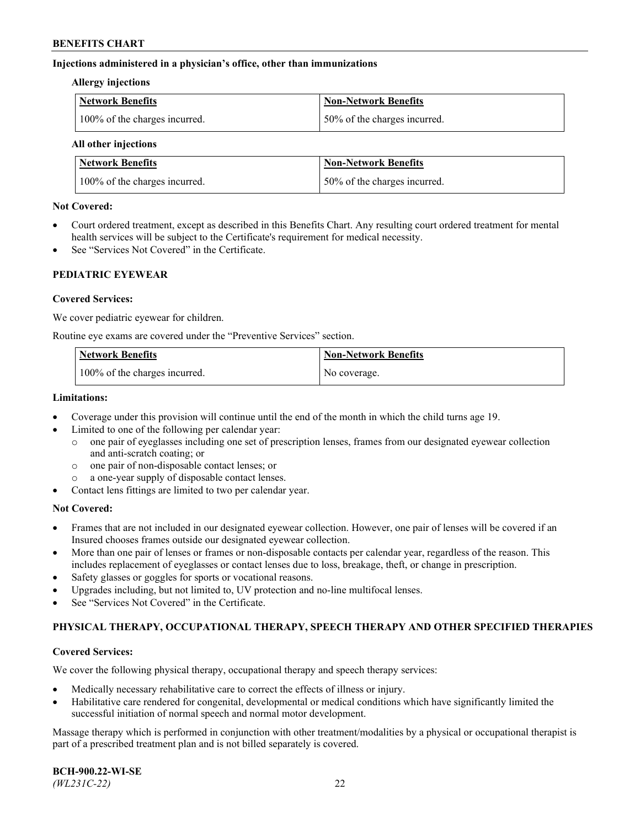### **Injections administered in a physician's office, other than immunizations**

#### **Allergy injections**

| Network Benefits              | Non-Network Benefits          |
|-------------------------------|-------------------------------|
| 100% of the charges incurred. | 150% of the charges incurred. |

#### **All other injections**

| <b>Network Benefits</b>       | <b>Non-Network Benefits</b>  |
|-------------------------------|------------------------------|
| 100% of the charges incurred. | 50% of the charges incurred. |

### **Not Covered:**

- Court ordered treatment, except as described in this Benefits Chart. Any resulting court ordered treatment for mental health services will be subject to the Certificate's requirement for medical necessity.
- See "Services Not Covered" in the Certificate.

### **PEDIATRIC EYEWEAR**

### **Covered Services:**

We cover pediatric eyewear for children.

Routine eye exams are covered under the "Preventive Services" section.

| Network Benefits              | <b>Non-Network Benefits</b> |
|-------------------------------|-----------------------------|
| 100% of the charges incurred. | No coverage.                |

### **Limitations:**

- Coverage under this provision will continue until the end of the month in which the child turns age 19.
- Limited to one of the following per calendar year:
	- o one pair of eyeglasses including one set of prescription lenses, frames from our designated eyewear collection and anti-scratch coating; or
	- o one pair of non-disposable contact lenses; or
	- o a one-year supply of disposable contact lenses.
- Contact lens fittings are limited to two per calendar year.

## **Not Covered:**

- Frames that are not included in our designated eyewear collection. However, one pair of lenses will be covered if an Insured chooses frames outside our designated eyewear collection.
- More than one pair of lenses or frames or non-disposable contacts per calendar year, regardless of the reason. This includes replacement of eyeglasses or contact lenses due to loss, breakage, theft, or change in prescription.
- Safety glasses or goggles for sports or vocational reasons.
- Upgrades including, but not limited to, UV protection and no-line multifocal lenses.
- See "Services Not Covered" in the Certificate.

## **PHYSICAL THERAPY, OCCUPATIONAL THERAPY, SPEECH THERAPY AND OTHER SPECIFIED THERAPIES**

#### **Covered Services:**

We cover the following physical therapy, occupational therapy and speech therapy services:

- Medically necessary rehabilitative care to correct the effects of illness or injury.
- Habilitative care rendered for congenital, developmental or medical conditions which have significantly limited the successful initiation of normal speech and normal motor development.

Massage therapy which is performed in conjunction with other treatment/modalities by a physical or occupational therapist is part of a prescribed treatment plan and is not billed separately is covered.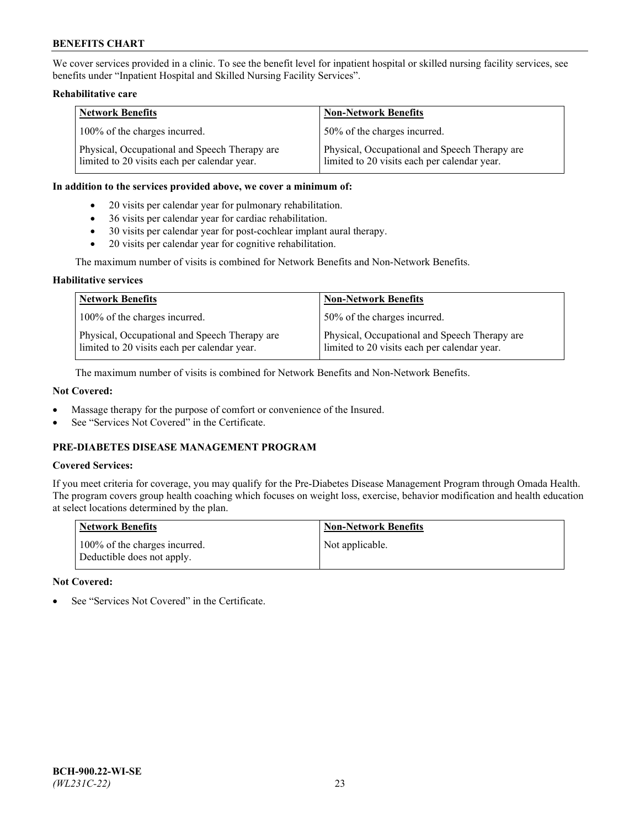We cover services provided in a clinic. To see the benefit level for inpatient hospital or skilled nursing facility services, see benefits under "Inpatient Hospital and Skilled Nursing Facility Services".

### **Rehabilitative care**

| <b>Network Benefits</b>                                                                       | <b>Non-Network Benefits</b>                                                                   |
|-----------------------------------------------------------------------------------------------|-----------------------------------------------------------------------------------------------|
| 100% of the charges incurred.                                                                 | 50% of the charges incurred.                                                                  |
| Physical, Occupational and Speech Therapy are<br>limited to 20 visits each per calendar year. | Physical, Occupational and Speech Therapy are<br>limited to 20 visits each per calendar year. |

#### **In addition to the services provided above, we cover a minimum of:**

- 20 visits per calendar year for pulmonary rehabilitation.
- 36 visits per calendar year for cardiac rehabilitation.
- 30 visits per calendar year for post-cochlear implant aural therapy.
- 20 visits per calendar year for cognitive rehabilitation.

The maximum number of visits is combined for Network Benefits and Non-Network Benefits.

### **Habilitative services**

| <b>Network Benefits</b>                                                                       | <b>Non-Network Benefits</b>                                                                   |
|-----------------------------------------------------------------------------------------------|-----------------------------------------------------------------------------------------------|
| 100% of the charges incurred.                                                                 | 50% of the charges incurred.                                                                  |
| Physical, Occupational and Speech Therapy are<br>limited to 20 visits each per calendar year. | Physical, Occupational and Speech Therapy are<br>limited to 20 visits each per calendar year. |

The maximum number of visits is combined for Network Benefits and Non-Network Benefits.

## **Not Covered:**

- Massage therapy for the purpose of comfort or convenience of the Insured.
- See "Services Not Covered" in the Certificate.

## **PRE-DIABETES DISEASE MANAGEMENT PROGRAM**

## **Covered Services:**

If you meet criteria for coverage, you may qualify for the Pre-Diabetes Disease Management Program through Omada Health. The program covers group health coaching which focuses on weight loss, exercise, behavior modification and health education at select locations determined by the plan.

| <b>Network Benefits</b>                                     | <b>Non-Network Benefits</b> |
|-------------------------------------------------------------|-----------------------------|
| 100% of the charges incurred.<br>Deductible does not apply. | Not applicable.             |

## **Not Covered:**

See "Services Not Covered" in the Certificate.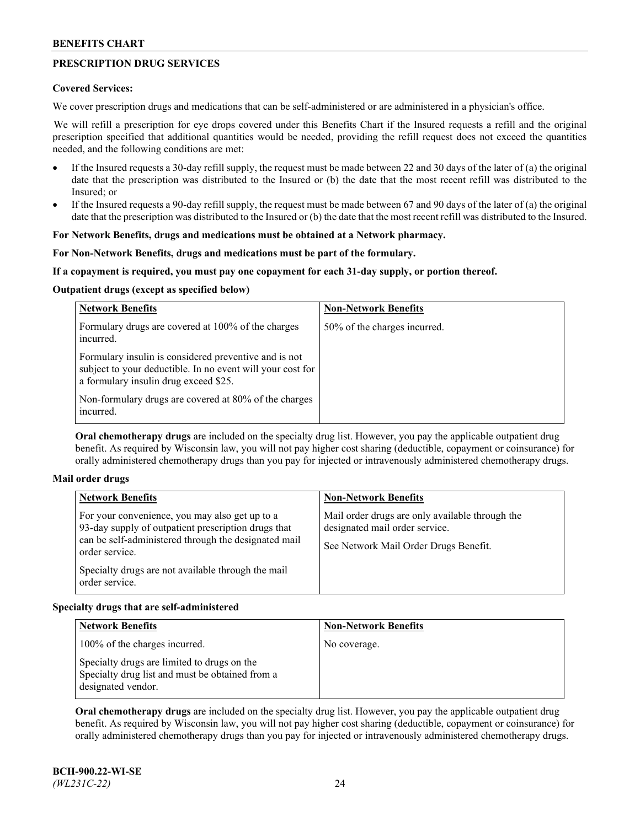## **PRESCRIPTION DRUG SERVICES**

### **Covered Services:**

We cover prescription drugs and medications that can be self-administered or are administered in a physician's office.

We will refill a prescription for eye drops covered under this Benefits Chart if the Insured requests a refill and the original prescription specified that additional quantities would be needed, providing the refill request does not exceed the quantities needed, and the following conditions are met:

- If the Insured requests a 30-day refill supply, the request must be made between 22 and 30 days of the later of (a) the original date that the prescription was distributed to the Insured or (b) the date that the most recent refill was distributed to the Insured; or
- If the Insured requests a 90-day refill supply, the request must be made between 67 and 90 days of the later of (a) the original date that the prescription was distributed to the Insured or (b) the date that the most recent refill was distributed to the Insured.

## **For Network Benefits, drugs and medications must be obtained at a Network pharmacy.**

### **For Non-Network Benefits, drugs and medications must be part of the formulary.**

### **If a copayment is required, you must pay one copayment for each 31-day supply, or portion thereof.**

### **Outpatient drugs (except as specified below)**

| <b>Network Benefits</b>                                                                                                                                      | <b>Non-Network Benefits</b>  |
|--------------------------------------------------------------------------------------------------------------------------------------------------------------|------------------------------|
| Formulary drugs are covered at 100% of the charges<br>incurred.                                                                                              | 50% of the charges incurred. |
| Formulary insulin is considered preventive and is not<br>subject to your deductible. In no event will your cost for<br>a formulary insulin drug exceed \$25. |                              |
| Non-formulary drugs are covered at 80% of the charges<br>incurred.                                                                                           |                              |

**Oral chemotherapy drugs** are included on the specialty drug list. However, you pay the applicable outpatient drug benefit. As required by Wisconsin law, you will not pay higher cost sharing (deductible, copayment or coinsurance) for orally administered chemotherapy drugs than you pay for injected or intravenously administered chemotherapy drugs.

#### **Mail order drugs**

| For your convenience, you may also get up to a                                                                                                                                                        |                                                                                                                            |
|-------------------------------------------------------------------------------------------------------------------------------------------------------------------------------------------------------|----------------------------------------------------------------------------------------------------------------------------|
| 93-day supply of outpatient prescription drugs that<br>can be self-administered through the designated mail<br>order service.<br>Specialty drugs are not available through the mail<br>order service. | Mail order drugs are only available through the<br>designated mail order service.<br>See Network Mail Order Drugs Benefit. |

## **Specialty drugs that are self-administered**

| <b>Network Benefits</b>                                                                                              | <b>Non-Network Benefits</b> |
|----------------------------------------------------------------------------------------------------------------------|-----------------------------|
| 100% of the charges incurred.                                                                                        | No coverage.                |
| Specialty drugs are limited to drugs on the<br>Specialty drug list and must be obtained from a<br>designated vendor. |                             |

**Oral chemotherapy drugs** are included on the specialty drug list. However, you pay the applicable outpatient drug benefit. As required by Wisconsin law, you will not pay higher cost sharing (deductible, copayment or coinsurance) for orally administered chemotherapy drugs than you pay for injected or intravenously administered chemotherapy drugs.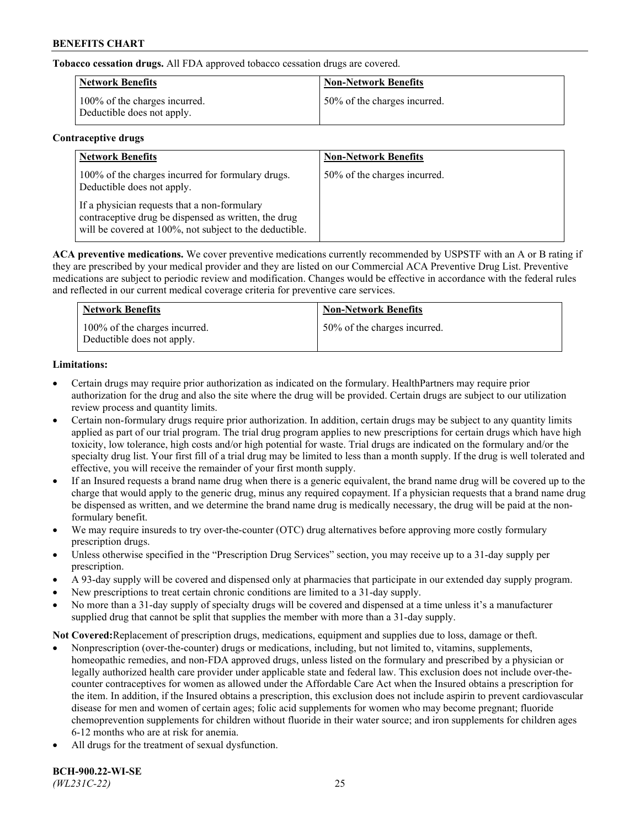**Tobacco cessation drugs.** All FDA approved tobacco cessation drugs are covered.

| <b>Network Benefits</b>                                     | <b>Non-Network Benefits</b>  |
|-------------------------------------------------------------|------------------------------|
| 100% of the charges incurred.<br>Deductible does not apply. | 50% of the charges incurred. |

## **Contraceptive drugs**

| <b>Network Benefits</b>                                                                                                                                         | <b>Non-Network Benefits</b>  |
|-----------------------------------------------------------------------------------------------------------------------------------------------------------------|------------------------------|
| 100% of the charges incurred for formulary drugs.<br>Deductible does not apply.                                                                                 | 50% of the charges incurred. |
| If a physician requests that a non-formulary<br>contraceptive drug be dispensed as written, the drug<br>will be covered at 100%, not subject to the deductible. |                              |

**ACA preventive medications.** We cover preventive medications currently recommended by USPSTF with an A or B rating if they are prescribed by your medical provider and they are listed on our Commercial ACA Preventive Drug List. Preventive medications are subject to periodic review and modification. Changes would be effective in accordance with the federal rules and reflected in our current medical coverage criteria for preventive care services.

| <b>Network Benefits</b>                                     | <b>Non-Network Benefits</b>  |
|-------------------------------------------------------------|------------------------------|
| 100% of the charges incurred.<br>Deductible does not apply. | 50% of the charges incurred. |

## **Limitations:**

- Certain drugs may require prior authorization as indicated on the formulary. HealthPartners may require prior authorization for the drug and also the site where the drug will be provided. Certain drugs are subject to our utilization review process and quantity limits.
- Certain non-formulary drugs require prior authorization. In addition, certain drugs may be subject to any quantity limits applied as part of our trial program. The trial drug program applies to new prescriptions for certain drugs which have high toxicity, low tolerance, high costs and/or high potential for waste. Trial drugs are indicated on the formulary and/or the specialty drug list. Your first fill of a trial drug may be limited to less than a month supply. If the drug is well tolerated and effective, you will receive the remainder of your first month supply.
- If an Insured requests a brand name drug when there is a generic equivalent, the brand name drug will be covered up to the charge that would apply to the generic drug, minus any required copayment. If a physician requests that a brand name drug be dispensed as written, and we determine the brand name drug is medically necessary, the drug will be paid at the nonformulary benefit.
- We may require insureds to try over-the-counter (OTC) drug alternatives before approving more costly formulary prescription drugs.
- Unless otherwise specified in the "Prescription Drug Services" section, you may receive up to a 31-day supply per prescription.
- A 93-day supply will be covered and dispensed only at pharmacies that participate in our extended day supply program.
- New prescriptions to treat certain chronic conditions are limited to a 31-day supply.
- No more than a 31-day supply of specialty drugs will be covered and dispensed at a time unless it's a manufacturer supplied drug that cannot be split that supplies the member with more than a 31-day supply.

**Not Covered:**Replacement of prescription drugs, medications, equipment and supplies due to loss, damage or theft.

- Nonprescription (over-the-counter) drugs or medications, including, but not limited to, vitamins, supplements, homeopathic remedies, and non-FDA approved drugs, unless listed on the formulary and prescribed by a physician or legally authorized health care provider under applicable state and federal law. This exclusion does not include over-thecounter contraceptives for women as allowed under the Affordable Care Act when the Insured obtains a prescription for the item. In addition, if the Insured obtains a prescription, this exclusion does not include aspirin to prevent cardiovascular disease for men and women of certain ages; folic acid supplements for women who may become pregnant; fluoride chemoprevention supplements for children without fluoride in their water source; and iron supplements for children ages 6-12 months who are at risk for anemia.
- All drugs for the treatment of sexual dysfunction.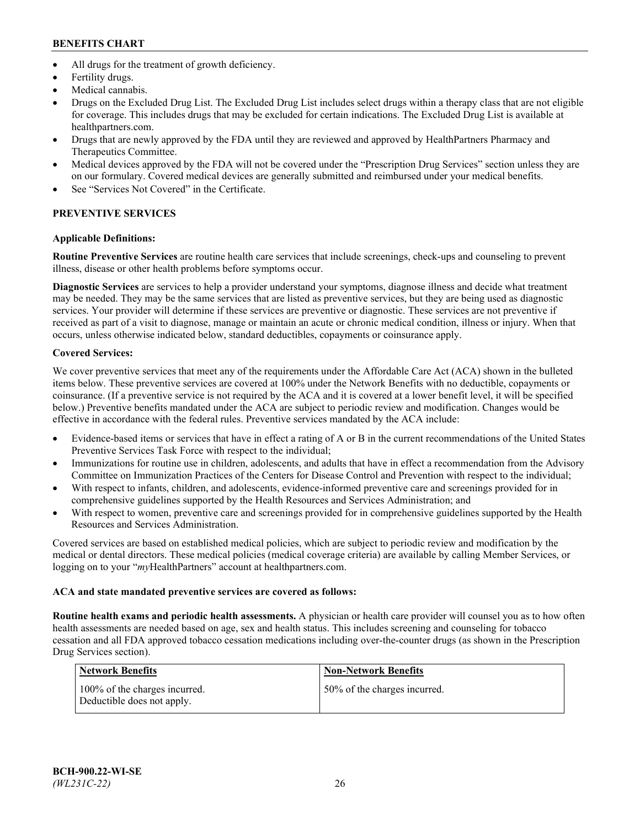- All drugs for the treatment of growth deficiency.
- Fertility drugs.
- Medical cannabis.
- Drugs on the Excluded Drug List. The Excluded Drug List includes select drugs within a therapy class that are not eligible for coverage. This includes drugs that may be excluded for certain indications. The Excluded Drug List is available at [healthpartners.com.](http://www.healthpartners.com/)
- Drugs that are newly approved by the FDA until they are reviewed and approved by HealthPartners Pharmacy and Therapeutics Committee.
- Medical devices approved by the FDA will not be covered under the "Prescription Drug Services" section unless they are on our formulary. Covered medical devices are generally submitted and reimbursed under your medical benefits.
- See "Services Not Covered" in the Certificate.

# **PREVENTIVE SERVICES**

## **Applicable Definitions:**

**Routine Preventive Services** are routine health care services that include screenings, check-ups and counseling to prevent illness, disease or other health problems before symptoms occur.

**Diagnostic Services** are services to help a provider understand your symptoms, diagnose illness and decide what treatment may be needed. They may be the same services that are listed as preventive services, but they are being used as diagnostic services. Your provider will determine if these services are preventive or diagnostic. These services are not preventive if received as part of a visit to diagnose, manage or maintain an acute or chronic medical condition, illness or injury. When that occurs, unless otherwise indicated below, standard deductibles, copayments or coinsurance apply.

## **Covered Services:**

We cover preventive services that meet any of the requirements under the Affordable Care Act (ACA) shown in the bulleted items below. These preventive services are covered at 100% under the Network Benefits with no deductible, copayments or coinsurance. (If a preventive service is not required by the ACA and it is covered at a lower benefit level, it will be specified below.) Preventive benefits mandated under the ACA are subject to periodic review and modification. Changes would be effective in accordance with the federal rules. Preventive services mandated by the ACA include:

- Evidence-based items or services that have in effect a rating of A or B in the current recommendations of the United States Preventive Services Task Force with respect to the individual;
- Immunizations for routine use in children, adolescents, and adults that have in effect a recommendation from the Advisory Committee on Immunization Practices of the Centers for Disease Control and Prevention with respect to the individual;
- With respect to infants, children, and adolescents, evidence-informed preventive care and screenings provided for in comprehensive guidelines supported by the Health Resources and Services Administration; and
- With respect to women, preventive care and screenings provided for in comprehensive guidelines supported by the Health Resources and Services Administration.

Covered services are based on established medical policies, which are subject to periodic review and modification by the medical or dental directors. These medical policies (medical coverage criteria) are available by calling Member Services, or logging on to your "*my*HealthPartners" account at [healthpartners.com.](https://www.healthpartners.com/hp/index.html)

## **ACA and state mandated preventive services are covered as follows:**

**Routine health exams and periodic health assessments.** A physician or health care provider will counsel you as to how often health assessments are needed based on age, sex and health status. This includes screening and counseling for tobacco cessation and all FDA approved tobacco cessation medications including over-the-counter drugs (as shown in the Prescription Drug Services section).

| Network Benefits                                            | <b>Non-Network Benefits</b>  |
|-------------------------------------------------------------|------------------------------|
| 100% of the charges incurred.<br>Deductible does not apply. | 50% of the charges incurred. |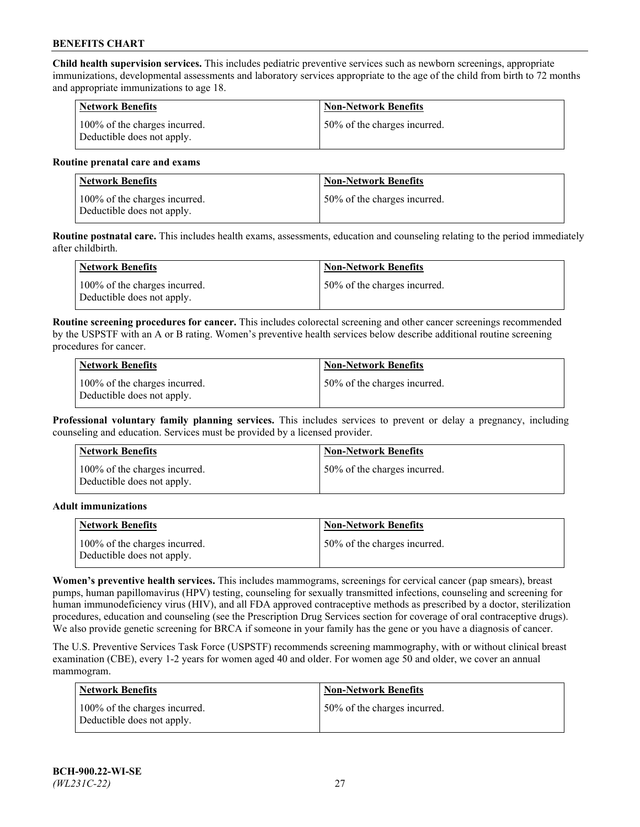**Child health supervision services.** This includes pediatric preventive services such as newborn screenings, appropriate immunizations, developmental assessments and laboratory services appropriate to the age of the child from birth to 72 months and appropriate immunizations to age 18.

| <b>Network Benefits</b>                                     | <b>Non-Network Benefits</b>  |
|-------------------------------------------------------------|------------------------------|
| 100% of the charges incurred.<br>Deductible does not apply. | 50% of the charges incurred. |

#### **Routine prenatal care and exams**

| Network Benefits                                            | <b>Non-Network Benefits</b>  |
|-------------------------------------------------------------|------------------------------|
| 100% of the charges incurred.<br>Deductible does not apply. | 50% of the charges incurred. |

**Routine postnatal care.** This includes health exams, assessments, education and counseling relating to the period immediately after childbirth.

| Network Benefits                                            | <b>Non-Network Benefits</b>  |
|-------------------------------------------------------------|------------------------------|
| 100% of the charges incurred.<br>Deductible does not apply. | 50% of the charges incurred. |

**Routine screening procedures for cancer.** This includes colorectal screening and other cancer screenings recommended by the USPSTF with an A or B rating. Women's preventive health services below describe additional routine screening procedures for cancer.

| <b>Network Benefits</b>                                     | <b>Non-Network Benefits</b>  |
|-------------------------------------------------------------|------------------------------|
| 100% of the charges incurred.<br>Deductible does not apply. | 50% of the charges incurred. |

**Professional voluntary family planning services.** This includes services to prevent or delay a pregnancy, including counseling and education. Services must be provided by a licensed provider.

| <b>Network Benefits</b>                                     | <b>Non-Network Benefits</b>  |
|-------------------------------------------------------------|------------------------------|
| 100% of the charges incurred.<br>Deductible does not apply. | 50% of the charges incurred. |

#### **Adult immunizations**

| <b>Network Benefits</b>                                     | <b>Non-Network Benefits</b>  |
|-------------------------------------------------------------|------------------------------|
| 100% of the charges incurred.<br>Deductible does not apply. | 50% of the charges incurred. |

**Women's preventive health services.** This includes mammograms, screenings for cervical cancer (pap smears), breast pumps, human papillomavirus (HPV) testing, counseling for sexually transmitted infections, counseling and screening for human immunodeficiency virus (HIV), and all FDA approved contraceptive methods as prescribed by a doctor, sterilization procedures, education and counseling (see the Prescription Drug Services section for coverage of oral contraceptive drugs). We also provide genetic screening for BRCA if someone in your family has the gene or you have a diagnosis of cancer.

The U.S. Preventive Services Task Force (USPSTF) recommends screening mammography, with or without clinical breast examination (CBE), every 1-2 years for women aged 40 and older. For women age 50 and older, we cover an annual mammogram.

| <b>Network Benefits</b>                                     | <b>Non-Network Benefits</b>  |
|-------------------------------------------------------------|------------------------------|
| 100% of the charges incurred.<br>Deductible does not apply. | 50% of the charges incurred. |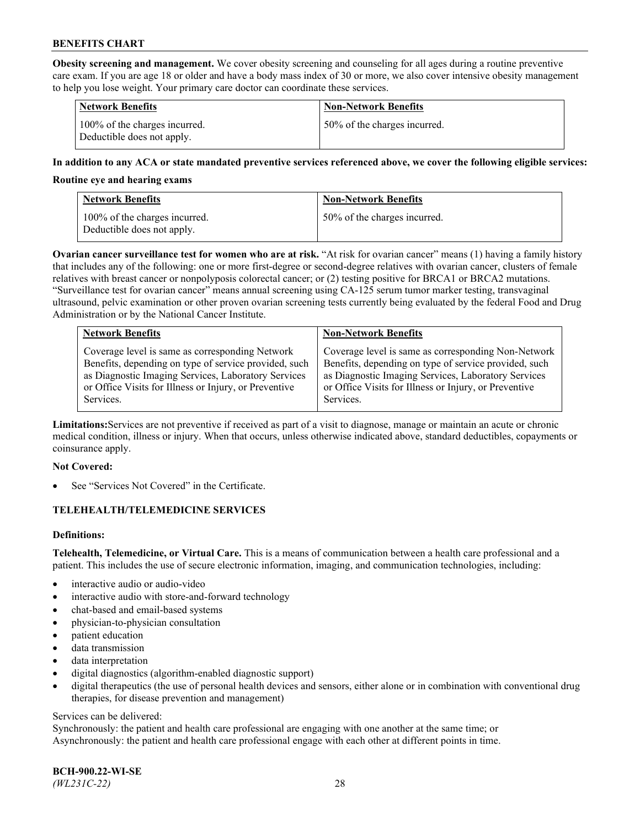**Obesity screening and management.** We cover obesity screening and counseling for all ages during a routine preventive care exam. If you are age 18 or older and have a body mass index of 30 or more, we also cover intensive obesity management to help you lose weight. Your primary care doctor can coordinate these services.

| <b>Network Benefits</b>                                     | <b>Non-Network Benefits</b>  |
|-------------------------------------------------------------|------------------------------|
| 100% of the charges incurred.<br>Deductible does not apply. | 50% of the charges incurred. |

### **In addition to any ACA or state mandated preventive services referenced above, we cover the following eligible services:**

#### **Routine eye and hearing exams**

| <b>Network Benefits</b>                                     | <b>Non-Network Benefits</b>  |
|-------------------------------------------------------------|------------------------------|
| 100% of the charges incurred.<br>Deductible does not apply. | 50% of the charges incurred. |

**Ovarian cancer surveillance test for women who are at risk.** "At risk for ovarian cancer" means (1) having a family history that includes any of the following: one or more first-degree or second-degree relatives with ovarian cancer, clusters of female relatives with breast cancer or nonpolyposis colorectal cancer; or (2) testing positive for BRCA1 or BRCA2 mutations. "Surveillance test for ovarian cancer" means annual screening using CA-125 serum tumor marker testing, transvaginal ultrasound, pelvic examination or other proven ovarian screening tests currently being evaluated by the federal Food and Drug Administration or by the National Cancer Institute.

| <b>Network Benefits</b>                               | <b>Non-Network Benefits</b>                           |
|-------------------------------------------------------|-------------------------------------------------------|
| Coverage level is same as corresponding Network       | Coverage level is same as corresponding Non-Network   |
| Benefits, depending on type of service provided, such | Benefits, depending on type of service provided, such |
| as Diagnostic Imaging Services, Laboratory Services   | as Diagnostic Imaging Services, Laboratory Services   |
| or Office Visits for Illness or Injury, or Preventive | or Office Visits for Illness or Injury, or Preventive |
| Services.                                             | Services.                                             |

**Limitations:**Services are not preventive if received as part of a visit to diagnose, manage or maintain an acute or chronic medical condition, illness or injury. When that occurs, unless otherwise indicated above, standard deductibles, copayments or coinsurance apply.

#### **Not Covered:**

See "Services Not Covered" in the Certificate.

## **TELEHEALTH/TELEMEDICINE SERVICES**

## **Definitions:**

**Telehealth, Telemedicine, or Virtual Care.** This is a means of communication between a health care professional and a patient. This includes the use of secure electronic information, imaging, and communication technologies, including:

- interactive audio or audio-video
- interactive audio with store-and-forward technology
- chat-based and email-based systems
- physician-to-physician consultation
- patient education
- data transmission
- data interpretation
- digital diagnostics (algorithm-enabled diagnostic support)
- digital therapeutics (the use of personal health devices and sensors, either alone or in combination with conventional drug therapies, for disease prevention and management)

#### Services can be delivered:

Synchronously: the patient and health care professional are engaging with one another at the same time; or Asynchronously: the patient and health care professional engage with each other at different points in time.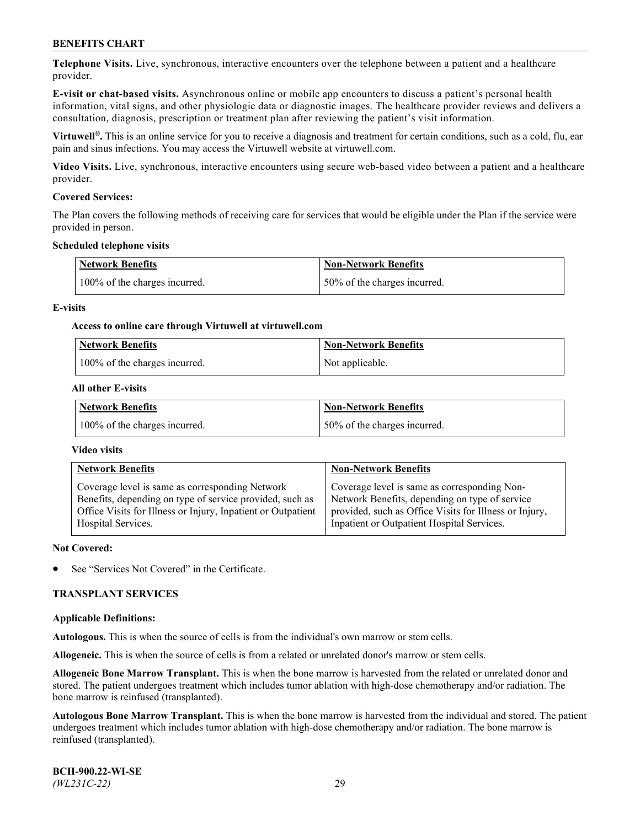**Telephone Visits.** Live, synchronous, interactive encounters over the telephone between a patient and a healthcare provider.

**E-visit or chat-based visits.** Asynchronous online or mobile app encounters to discuss a patient's personal health information, vital signs, and other physiologic data or diagnostic images. The healthcare provider reviews and delivers a consultation, diagnosis, prescription or treatment plan after reviewing the patient's visit information.

**Virtuwell®.** This is an online service for you to receive a diagnosis and treatment for certain conditions, such as a cold, flu, ear pain and sinus infections. You may access the Virtuwell website at [virtuwell.com.](https://www.virtuwell.com/)

**Video Visits.** Live, synchronous, interactive encounters using secure web-based video between a patient and a healthcare provider.

### **Covered Services:**

The Plan covers the following methods of receiving care for services that would be eligible under the Plan if the service were provided in person.

#### **Scheduled telephone visits**

| <b>Network Benefits</b>       | <b>Non-Network Benefits</b>  |
|-------------------------------|------------------------------|
| 100% of the charges incurred. | 50% of the charges incurred. |

### **E-visits**

### **Access to online care through Virtuwell at [virtuwell.com](https://www.virtuwell.com/)**

| <b>Network Benefits</b>       | <b>Non-Network Benefits</b> |
|-------------------------------|-----------------------------|
| 100% of the charges incurred. | Not applicable.             |

### **All other E-visits**

| <b>Network Benefits</b>       | <b>Non-Network Benefits</b>  |
|-------------------------------|------------------------------|
| 100% of the charges incurred. | 50% of the charges incurred. |

#### **Video visits**

| <b>Network Benefits</b>                                      | <b>Non-Network Benefits</b>                            |
|--------------------------------------------------------------|--------------------------------------------------------|
| Coverage level is same as corresponding Network              | Coverage level is same as corresponding Non-           |
| Benefits, depending on type of service provided, such as     | Network Benefits, depending on type of service         |
| Office Visits for Illness or Injury, Inpatient or Outpatient | provided, such as Office Visits for Illness or Injury, |
| Hospital Services.                                           | Inpatient or Outpatient Hospital Services.             |

#### **Not Covered:**

See "Services Not Covered" in the Certificate.

## **TRANSPLANT SERVICES**

#### **Applicable Definitions:**

**Autologous.** This is when the source of cells is from the individual's own marrow or stem cells.

**Allogeneic.** This is when the source of cells is from a related or unrelated donor's marrow or stem cells.

**Allogeneic Bone Marrow Transplant.** This is when the bone marrow is harvested from the related or unrelated donor and stored. The patient undergoes treatment which includes tumor ablation with high-dose chemotherapy and/or radiation. The bone marrow is reinfused (transplanted).

**Autologous Bone Marrow Transplant.** This is when the bone marrow is harvested from the individual and stored. The patient undergoes treatment which includes tumor ablation with high-dose chemotherapy and/or radiation. The bone marrow is reinfused (transplanted).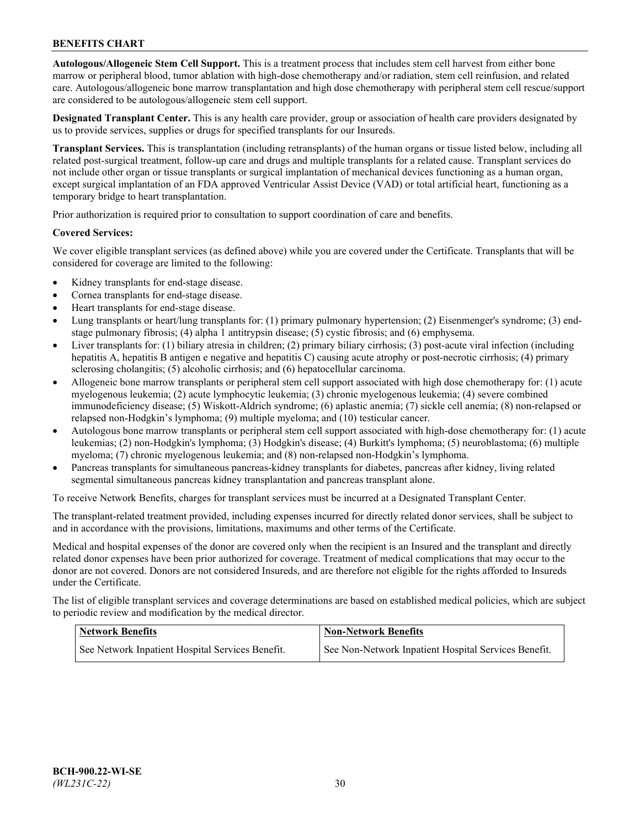**Autologous/Allogeneic Stem Cell Support.** This is a treatment process that includes stem cell harvest from either bone marrow or peripheral blood, tumor ablation with high-dose chemotherapy and/or radiation, stem cell reinfusion, and related care. Autologous/allogeneic bone marrow transplantation and high dose chemotherapy with peripheral stem cell rescue/support are considered to be autologous/allogeneic stem cell support.

**Designated Transplant Center.** This is any health care provider, group or association of health care providers designated by us to provide services, supplies or drugs for specified transplants for our Insureds.

**Transplant Services.** This is transplantation (including retransplants) of the human organs or tissue listed below, including all related post-surgical treatment, follow-up care and drugs and multiple transplants for a related cause. Transplant services do not include other organ or tissue transplants or surgical implantation of mechanical devices functioning as a human organ, except surgical implantation of an FDA approved Ventricular Assist Device (VAD) or total artificial heart, functioning as a temporary bridge to heart transplantation.

Prior authorization is required prior to consultation to support coordination of care and benefits.

### **Covered Services:**

We cover eligible transplant services (as defined above) while you are covered under the Certificate. Transplants that will be considered for coverage are limited to the following:

- Kidney transplants for end-stage disease.
- Cornea transplants for end-stage disease.
- Heart transplants for end-stage disease.
- Lung transplants or heart/lung transplants for: (1) primary pulmonary hypertension; (2) Eisenmenger's syndrome; (3) endstage pulmonary fibrosis; (4) alpha 1 antitrypsin disease; (5) cystic fibrosis; and (6) emphysema.
- Liver transplants for: (1) biliary atresia in children; (2) primary biliary cirrhosis; (3) post-acute viral infection (including hepatitis A, hepatitis B antigen e negative and hepatitis C) causing acute atrophy or post-necrotic cirrhosis; (4) primary sclerosing cholangitis; (5) alcoholic cirrhosis; and (6) hepatocellular carcinoma.
- Allogeneic bone marrow transplants or peripheral stem cell support associated with high dose chemotherapy for: (1) acute myelogenous leukemia; (2) acute lymphocytic leukemia; (3) chronic myelogenous leukemia; (4) severe combined immunodeficiency disease; (5) Wiskott-Aldrich syndrome; (6) aplastic anemia; (7) sickle cell anemia; (8) non-relapsed or relapsed non-Hodgkin's lymphoma; (9) multiple myeloma; and (10) testicular cancer.
- Autologous bone marrow transplants or peripheral stem cell support associated with high-dose chemotherapy for: (1) acute leukemias; (2) non-Hodgkin's lymphoma; (3) Hodgkin's disease; (4) Burkitt's lymphoma; (5) neuroblastoma; (6) multiple myeloma; (7) chronic myelogenous leukemia; and (8) non-relapsed non-Hodgkin's lymphoma.
- Pancreas transplants for simultaneous pancreas-kidney transplants for diabetes, pancreas after kidney, living related segmental simultaneous pancreas kidney transplantation and pancreas transplant alone.

To receive Network Benefits, charges for transplant services must be incurred at a Designated Transplant Center.

The transplant-related treatment provided, including expenses incurred for directly related donor services, shall be subject to and in accordance with the provisions, limitations, maximums and other terms of the Certificate.

Medical and hospital expenses of the donor are covered only when the recipient is an Insured and the transplant and directly related donor expenses have been prior authorized for coverage. Treatment of medical complications that may occur to the donor are not covered. Donors are not considered Insureds, and are therefore not eligible for the rights afforded to Insureds under the Certificate.

The list of eligible transplant services and coverage determinations are based on established medical policies, which are subject to periodic review and modification by the medical director.

| <b>Network Benefits</b>                          | <b>Non-Network Benefits</b>                          |
|--------------------------------------------------|------------------------------------------------------|
| See Network Inpatient Hospital Services Benefit. | See Non-Network Inpatient Hospital Services Benefit. |